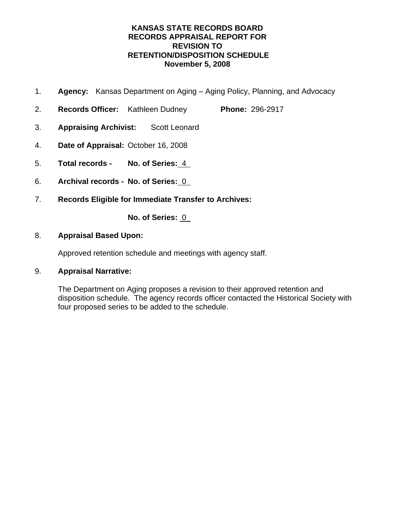### **KANSAS STATE RECORDS BOARD RECORDS APPRAISAL REPORT FOR REVISION TO RETENTION/DISPOSITION SCHEDULE November 5, 2008**

- 1. **Agency:** Kansas Department on Aging Aging Policy, Planning, and Advocacy
- 2. **Records Officer:** Kathleen Dudney **Phone:** 296-2917
- 3. **Appraising Archivist:** Scott Leonard
- 4. **Date of Appraisal:** October 16, 2008
- 5. **Total records No. of Series:** 4
- 6. **Archival records No. of Series:** 0
- 7. **Records Eligible for Immediate Transfer to Archives:**

**No. of Series:** 0

### 8. **Appraisal Based Upon:**

Approved retention schedule and meetings with agency staff.

### 9. **Appraisal Narrative:**

The Department on Aging proposes a revision to their approved retention and disposition schedule. The agency records officer contacted the Historical Society with four proposed series to be added to the schedule.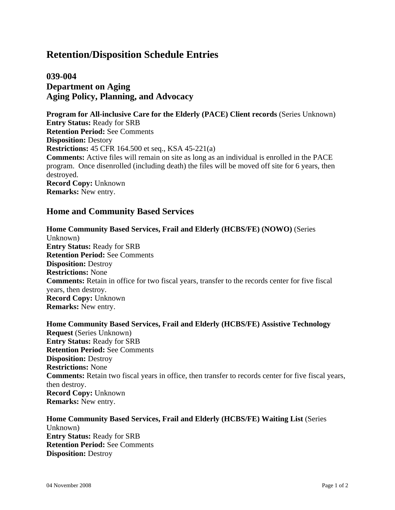# **039-004 Department on Aging Aging Policy, Planning, and Advocacy**

**Program for All-inclusive Care for the Elderly (PACE) Client records** (Series Unknown) **Entry Status:** Ready for SRB **Retention Period:** See Comments **Disposition:** Destory **Restrictions:** 45 CFR 164.500 et seq., KSA 45-221(a) **Comments:** Active files will remain on site as long as an individual is enrolled in the PACE program. Once disenrolled (including death) the files will be moved off site for 6 years, then destroyed. **Record Copy:** Unknown **Remarks:** New entry.

### **Home and Community Based Services**

### **Home Community Based Services, Frail and Elderly (HCBS/FE) (NOWO)** (Series Unknown) **Entry Status:** Ready for SRB **Retention Period:** See Comments **Disposition:** Destroy **Restrictions:** None **Comments:** Retain in office for two fiscal years, transfer to the records center for five fiscal years, then destroy. **Record Copy:** Unknown **Remarks:** New entry.

**Home Community Based Services, Frail and Elderly (HCBS/FE) Assistive Technology Request** (Series Unknown) **Entry Status:** Ready for SRB **Retention Period:** See Comments **Disposition:** Destroy **Restrictions:** None **Comments:** Retain two fiscal years in office, then transfer to records center for five fiscal years, then destroy. **Record Copy:** Unknown **Remarks:** New entry.

**Home Community Based Services, Frail and Elderly (HCBS/FE) Waiting List** (Series Unknown) **Entry Status:** Ready for SRB **Retention Period:** See Comments **Disposition:** Destroy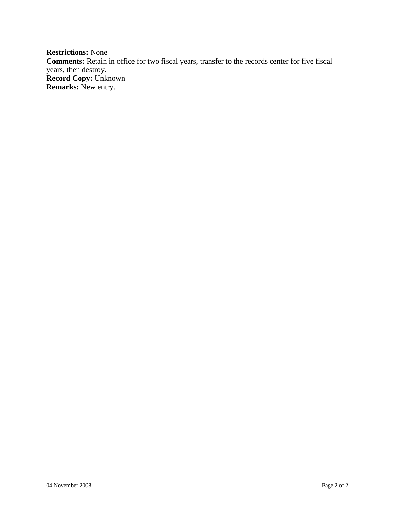**Restrictions:** None **Comments:** Retain in office for two fiscal years, transfer to the records center for five fiscal years, then destroy. **Record Copy:** Unknown **Remarks:** New entry.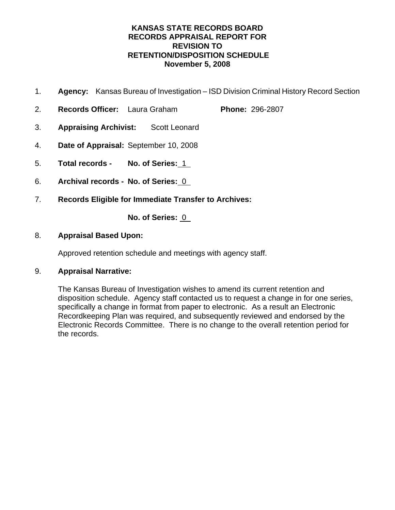### **KANSAS STATE RECORDS BOARD RECORDS APPRAISAL REPORT FOR REVISION TO RETENTION/DISPOSITION SCHEDULE November 5, 2008**

- 1. **Agency:** Kansas Bureau of Investigation ISD Division Criminal History Record Section
- 2. **Records Officer:** Laura Graham **Phone:** 296-2807
- 3. **Appraising Archivist:** Scott Leonard
- 4. **Date of Appraisal:** September 10, 2008
- 5. **Total records No. of Series:** 1
- 6. **Archival records No. of Series:** 0
- 7. **Records Eligible for Immediate Transfer to Archives:**

**No. of Series:** 0

### 8. **Appraisal Based Upon:**

Approved retention schedule and meetings with agency staff.

### 9. **Appraisal Narrative:**

The Kansas Bureau of Investigation wishes to amend its current retention and disposition schedule. Agency staff contacted us to request a change in for one series, specifically a change in format from paper to electronic. As a result an Electronic Recordkeeping Plan was required, and subsequently reviewed and endorsed by the Electronic Records Committee. There is no change to the overall retention period for the records.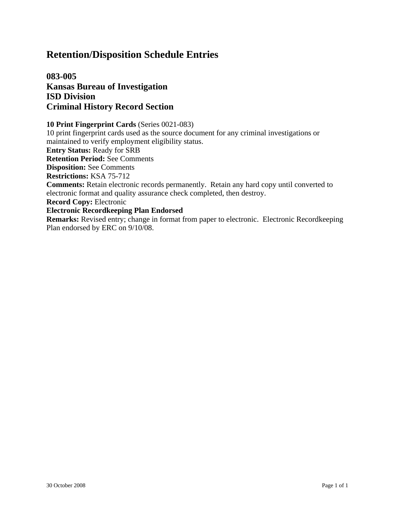**083-005 Kansas Bureau of Investigation ISD Division Criminal History Record Section**

### **10 Print Fingerprint Cards** (Series 0021-083)

10 print fingerprint cards used as the source document for any criminal investigations or maintained to verify employment eligibility status.

**Entry Status:** Ready for SRB

**Retention Period:** See Comments

**Disposition:** See Comments

**Restrictions:** KSA 75-712

**Comments:** Retain electronic records permanently. Retain any hard copy until converted to electronic format and quality assurance check completed, then destroy.

**Record Copy:** Electronic

#### **Electronic Recordkeeping Plan Endorsed**

**Remarks:** Revised entry; change in format from paper to electronic. Electronic Recordkeeping Plan endorsed by ERC on 9/10/08.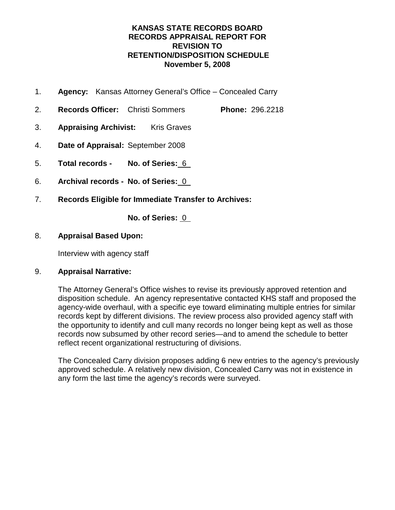### **KANSAS STATE RECORDS BOARD RECORDS APPRAISAL REPORT FOR REVISION TO RETENTION/DISPOSITION SCHEDULE November 5, 2008**

- 1. **Agency:** Kansas Attorney General's Office Concealed Carry
- 2. **Records Officer:** Christi Sommers **Phone:** 296.2218
- 3. **Appraising Archivist:** Kris Graves
- 4. **Date of Appraisal:** September 2008
- 5. **Total records No. of Series:** 6
- 6. **Archival records No. of Series:** 0
- 7. **Records Eligible for Immediate Transfer to Archives:**

**No. of Series:** 0

### 8. **Appraisal Based Upon:**

Interview with agency staff

### 9. **Appraisal Narrative:**

The Attorney General's Office wishes to revise its previously approved retention and disposition schedule. An agency representative contacted KHS staff and proposed the agency-wide overhaul, with a specific eye toward eliminating multiple entries for similar records kept by different divisions. The review process also provided agency staff with the opportunity to identify and cull many records no longer being kept as well as those records now subsumed by other record series—and to amend the schedule to better reflect recent organizational restructuring of divisions.

The Concealed Carry division proposes adding 6 new entries to the agency's previously approved schedule. A relatively new division, Concealed Carry was not in existence in any form the last time the agency's records were surveyed.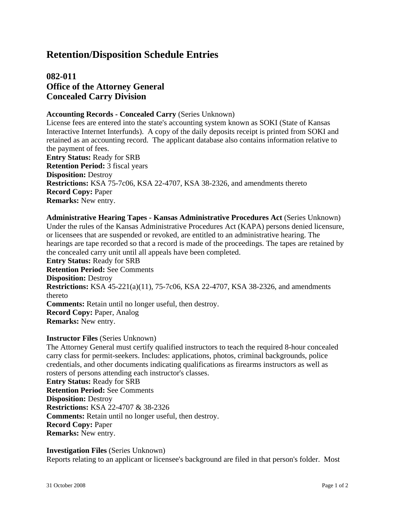# **082-011 Office of the Attorney General Concealed Carry Division**

#### **Accounting Records - Concealed Carry** (Series Unknown)

License fees are entered into the state's accounting system known as SOKI (State of Kansas Interactive Internet Interfunds). A copy of the daily deposits receipt is printed from SOKI and retained as an accounting record. The applicant database also contains information relative to the payment of fees. **Entry Status:** Ready for SRB

**Retention Period:** 3 fiscal years **Disposition:** Destroy **Restrictions:** KSA 75-7c06, KSA 22-4707, KSA 38-2326, and amendments thereto **Record Copy:** Paper **Remarks:** New entry.

**Administrative Hearing Tapes - Kansas Administrative Procedures Act** (Series Unknown) Under the rules of the Kansas Administrative Procedures Act (KAPA) persons denied licensure, or licensees that are suspended or revoked, are entitled to an administrative hearing. The hearings are tape recorded so that a record is made of the proceedings. The tapes are retained by the concealed carry unit until all appeals have been completed. **Entry Status:** Ready for SRB **Retention Period:** See Comments **Disposition:** Destroy **Restrictions:** KSA 45-221(a)(11), 75-7c06, KSA 22-4707, KSA 38-2326, and amendments thereto **Comments:** Retain until no longer useful, then destroy. **Record Copy:** Paper, Analog **Remarks:** New entry.

**Instructor Files** (Series Unknown)

The Attorney General must certify qualified instructors to teach the required 8-hour concealed carry class for permit-seekers. Includes: applications, photos, criminal backgrounds, police credentials, and other documents indicating qualifications as firearms instructors as well as rosters of persons attending each instructor's classes. **Entry Status:** Ready for SRB **Retention Period:** See Comments **Disposition:** Destroy **Restrictions:** KSA 22-4707 & 38-2326 **Comments:** Retain until no longer useful, then destroy. **Record Copy:** Paper **Remarks:** New entry.

#### **Investigation Files** (Series Unknown)

Reports relating to an applicant or licensee's background are filed in that person's folder. Most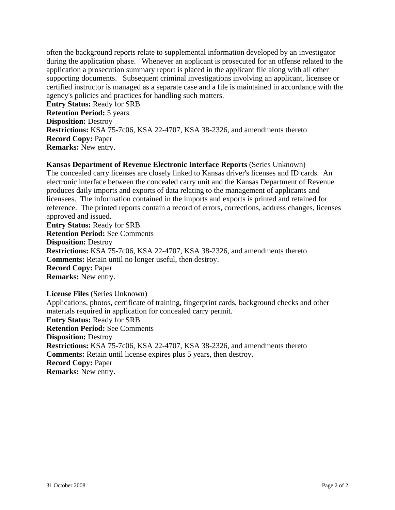often the background reports relate to supplemental information developed by an investigator during the application phase. Whenever an applicant is prosecuted for an offense related to the application a prosecution summary report is placed in the applicant file along with all other supporting documents. Subsequent criminal investigations involving an applicant, licensee or certified instructor is managed as a separate case and a file is maintained in accordance with the agency's policies and practices for handling such matters.

**Entry Status:** Ready for SRB **Retention Period:** 5 years **Disposition:** Destroy **Restrictions:** KSA 75-7c06, KSA 22-4707, KSA 38-2326, and amendments thereto **Record Copy:** Paper **Remarks:** New entry.

### **Kansas Department of Revenue Electronic Interface Reports** (Series Unknown)

The concealed carry licenses are closely linked to Kansas driver's licenses and ID cards. An electronic interface between the concealed carry unit and the Kansas Department of Revenue produces daily imports and exports of data relating to the management of applicants and licensees. The information contained in the imports and exports is printed and retained for reference. The printed reports contain a record of errors, corrections, address changes, licenses approved and issued.

**Entry Status:** Ready for SRB **Retention Period:** See Comments **Disposition:** Destroy **Restrictions:** KSA 75-7c06, KSA 22-4707, KSA 38-2326, and amendments thereto **Comments:** Retain until no longer useful, then destroy. **Record Copy:** Paper **Remarks:** New entry.

**License Files** (Series Unknown)

Applications, photos, certificate of training, fingerprint cards, background checks and other materials required in application for concealed carry permit. **Entry Status:** Ready for SRB **Retention Period:** See Comments **Disposition:** Destroy **Restrictions:** KSA 75-7c06, KSA 22-4707, KSA 38-2326, and amendments thereto **Comments:** Retain until license expires plus 5 years, then destroy. **Record Copy:** Paper **Remarks:** New entry.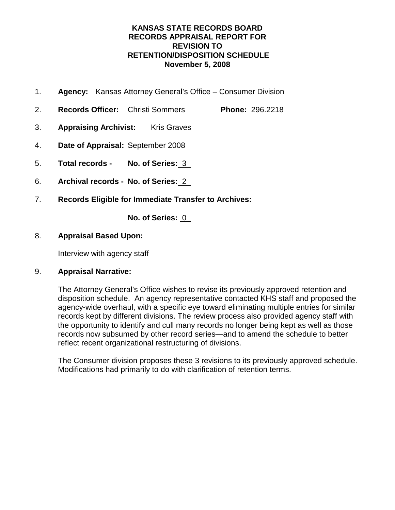### **KANSAS STATE RECORDS BOARD RECORDS APPRAISAL REPORT FOR REVISION TO RETENTION/DISPOSITION SCHEDULE November 5, 2008**

- 1. **Agency:** Kansas Attorney General's Office Consumer Division
- 2. **Records Officer:** Christi Sommers **Phone:** 296.2218
- 3. **Appraising Archivist:** Kris Graves
- 4. **Date of Appraisal:** September 2008
- 5. **Total records No. of Series:** 3
- 6. **Archival records No. of Series:** 2
- 7. **Records Eligible for Immediate Transfer to Archives:**

**No. of Series:** 0

### 8. **Appraisal Based Upon:**

Interview with agency staff

### 9. **Appraisal Narrative:**

The Attorney General's Office wishes to revise its previously approved retention and disposition schedule. An agency representative contacted KHS staff and proposed the agency-wide overhaul, with a specific eye toward eliminating multiple entries for similar records kept by different divisions. The review process also provided agency staff with the opportunity to identify and cull many records no longer being kept as well as those records now subsumed by other record series—and to amend the schedule to better reflect recent organizational restructuring of divisions.

The Consumer division proposes these 3 revisions to its previously approved schedule. Modifications had primarily to do with clarification of retention terms.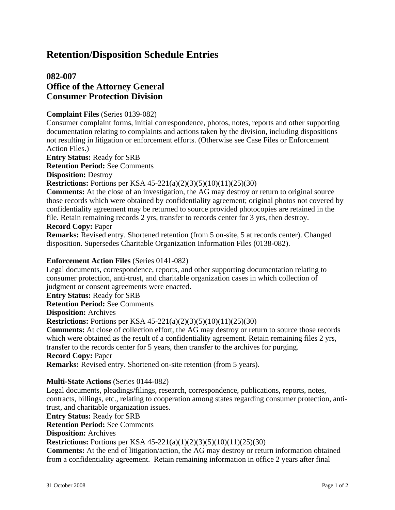# **082-007 Office of the Attorney General Consumer Protection Division**

#### **Complaint Files** (Series 0139-082)

Consumer complaint forms, initial correspondence, photos, notes, reports and other supporting documentation relating to complaints and actions taken by the division, including dispositions not resulting in litigation or enforcement efforts. (Otherwise see Case Files or Enforcement Action Files.)

**Entry Status:** Ready for SRB

**Retention Period:** See Comments

**Disposition:** Destroy

**Restrictions:** Portions per KSA 45-221(a)(2)(3)(5)(10)(11)(25)(30)

**Comments:** At the close of an investigation, the AG may destroy or return to original source those records which were obtained by confidentiality agreement; original photos not covered by confidentiality agreement may be returned to source provided photocopies are retained in the file. Retain remaining records 2 yrs, transfer to records center for 3 yrs, then destroy.

### **Record Copy:** Paper

**Remarks:** Revised entry. Shortened retention (from 5 on-site, 5 at records center). Changed disposition. Supersedes Charitable Organization Information Files (0138-082).

### **Enforcement Action Files** (Series 0141-082)

Legal documents, correspondence, reports, and other supporting documentation relating to consumer protection, anti-trust, and charitable organization cases in which collection of judgment or consent agreements were enacted.

**Entry Status:** Ready for SRB

**Retention Period:** See Comments

**Disposition:** Archives

**Restrictions:** Portions per KSA 45-221(a)(2)(3)(5)(10)(11)(25)(30)

**Comments:** At close of collection effort, the AG may destroy or return to source those records which were obtained as the result of a confidentiality agreement. Retain remaining files 2 yrs, transfer to the records center for 5 years, then transfer to the archives for purging.

### **Record Copy:** Paper

**Remarks:** Revised entry. Shortened on-site retention (from 5 years).

#### **Multi-State Actions** (Series 0144-082)

Legal documents, pleadings/filings, research, correspondence, publications, reports, notes, contracts, billings, etc., relating to cooperation among states regarding consumer protection, antitrust, and charitable organization issues.

**Entry Status:** Ready for SRB

**Retention Period:** See Comments

**Disposition:** Archives

**Restrictions:** Portions per KSA 45-221(a)(1)(2)(3)(5)(10)(11)(25)(30)

**Comments:** At the end of litigation/action, the AG may destroy or return information obtained from a confidentiality agreement. Retain remaining information in office 2 years after final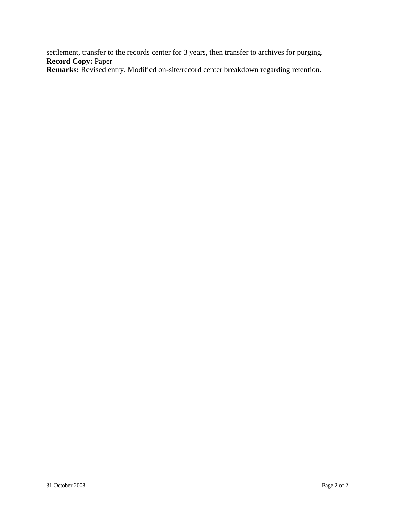settlement, transfer to the records center for 3 years, then transfer to archives for purging. **Record Copy:** Paper

**Remarks:** Revised entry. Modified on-site/record center breakdown regarding retention.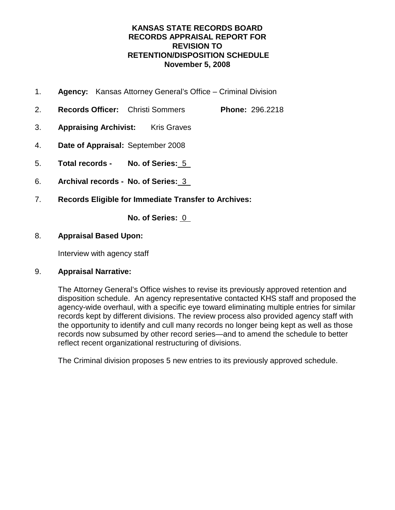### **KANSAS STATE RECORDS BOARD RECORDS APPRAISAL REPORT FOR REVISION TO RETENTION/DISPOSITION SCHEDULE November 5, 2008**

- 1. **Agency:** Kansas Attorney General's Office Criminal Division
- 2. **Records Officer:** Christi Sommers **Phone:** 296.2218
- 3. **Appraising Archivist:** Kris Graves
- 4. **Date of Appraisal:** September 2008
- 5. **Total records No. of Series:** 5
- 6. **Archival records No. of Series:** 3
- 7. **Records Eligible for Immediate Transfer to Archives:**

**No. of Series:** 0

### 8. **Appraisal Based Upon:**

Interview with agency staff

### 9. **Appraisal Narrative:**

The Attorney General's Office wishes to revise its previously approved retention and disposition schedule. An agency representative contacted KHS staff and proposed the agency-wide overhaul, with a specific eye toward eliminating multiple entries for similar records kept by different divisions. The review process also provided agency staff with the opportunity to identify and cull many records no longer being kept as well as those records now subsumed by other record series—and to amend the schedule to better reflect recent organizational restructuring of divisions.

The Criminal division proposes 5 new entries to its previously approved schedule.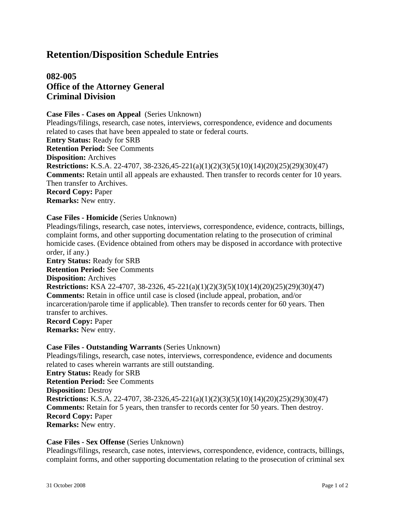# **082-005 Office of the Attorney General Criminal Division**

**Case Files - Cases on Appeal** (Series Unknown) Pleadings/filings, research, case notes, interviews, correspondence, evidence and documents related to cases that have been appealed to state or federal courts. **Entry Status:** Ready for SRB **Retention Period:** See Comments **Disposition:** Archives **Restrictions:** K.S.A. 22-4707, 38-2326,45-221(a)(1)(2)(3)(5)(10)(14)(20)(25)(29)(30)(47) **Comments:** Retain until all appeals are exhausted. Then transfer to records center for 10 years. Then transfer to Archives. **Record Copy:** Paper **Remarks:** New entry.

### **Case Files - Homicide** (Series Unknown)

Pleadings/filings, research, case notes, interviews, correspondence, evidence, contracts, billings, complaint forms, and other supporting documentation relating to the prosecution of criminal homicide cases. (Evidence obtained from others may be disposed in accordance with protective order, if any.) **Entry Status:** Ready for SRB **Retention Period:** See Comments **Disposition:** Archives **Restrictions:** KSA 22-4707, 38-2326, 45-221(a)(1)(2)(3)(5)(10)(14)(20)(25)(29)(30)(47) **Comments:** Retain in office until case is closed (include appeal, probation, and/or incarceration/parole time if applicable). Then transfer to records center for 60 years. Then transfer to archives. **Record Copy:** Paper **Remarks:** New entry.

### **Case Files - Outstanding Warrants** (Series Unknown)

Pleadings/filings, research, case notes, interviews, correspondence, evidence and documents related to cases wherein warrants are still outstanding. **Entry Status:** Ready for SRB **Retention Period:** See Comments **Disposition:** Destroy **Restrictions:** K.S.A. 22-4707, 38-2326,45-221(a)(1)(2)(3)(5)(10)(14)(20)(25)(29)(30)(47) **Comments:** Retain for 5 years, then transfer to records center for 50 years. Then destroy. **Record Copy:** Paper **Remarks:** New entry.

**Case Files - Sex Offense** (Series Unknown)

Pleadings/filings, research, case notes, interviews, correspondence, evidence, contracts, billings, complaint forms, and other supporting documentation relating to the prosecution of criminal sex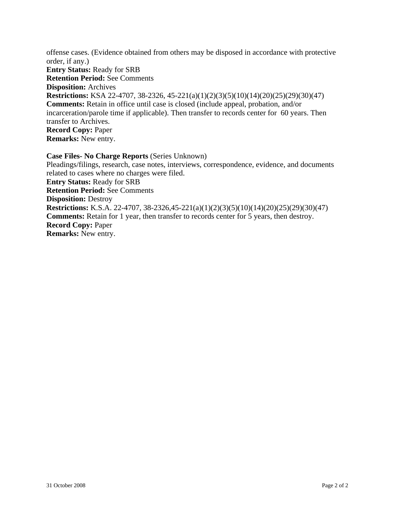offense cases. (Evidence obtained from others may be disposed in accordance with protective order, if any.) **Entry Status:** Ready for SRB **Retention Period:** See Comments **Disposition:** Archives **Restrictions:** KSA 22-4707, 38-2326, 45-221(a)(1)(2)(3)(5)(10)(14)(20)(25)(29)(30)(47) **Comments:** Retain in office until case is closed (include appeal, probation, and/or incarceration/parole time if applicable). Then transfer to records center for 60 years. Then transfer to Archives. **Record Copy:** Paper **Remarks:** New entry.

**Case Files- No Charge Reports** (Series Unknown) Pleadings/filings, research, case notes, interviews, correspondence, evidence, and documents related to cases where no charges were filed. **Entry Status:** Ready for SRB **Retention Period:** See Comments **Disposition:** Destroy **Restrictions:** K.S.A. 22-4707, 38-2326,45-221(a)(1)(2)(3)(5)(10)(14)(20)(25)(29)(30)(47) **Comments:** Retain for 1 year, then transfer to records center for 5 years, then destroy. **Record Copy:** Paper **Remarks:** New entry.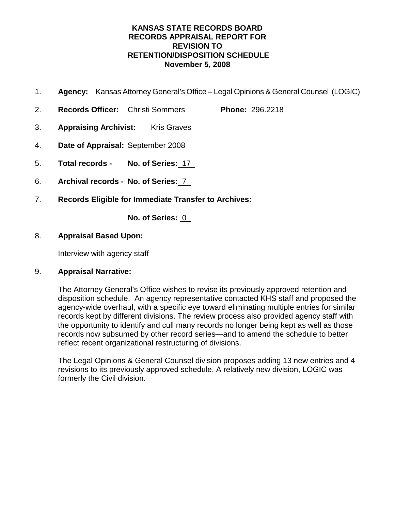### **KANSAS STATE RECORDS BOARD RECORDS APPRAISAL REPORT FOR REVISION TO RETENTION/DISPOSITION SCHEDULE November 5, 2008**

- 1. **Agency:** Kansas Attorney General's Office Legal Opinions & General Counsel (LOGIC)
- 2. **Records Officer:** Christi Sommers **Phone:** 296.2218
- 3. **Appraising Archivist:** Kris Graves
- 4. **Date of Appraisal:** September 2008
- 5. **Total records No. of Series:** 17
- 6. **Archival records No. of Series:** 7
- 7. **Records Eligible for Immediate Transfer to Archives:**

**No. of Series:** 0

### 8. **Appraisal Based Upon:**

Interview with agency staff

### 9. **Appraisal Narrative:**

The Attorney General's Office wishes to revise its previously approved retention and disposition schedule. An agency representative contacted KHS staff and proposed the agency-wide overhaul, with a specific eye toward eliminating multiple entries for similar records kept by different divisions. The review process also provided agency staff with the opportunity to identify and cull many records no longer being kept as well as those records now subsumed by other record series—and to amend the schedule to better reflect recent organizational restructuring of divisions.

The Legal Opinions & General Counsel division proposes adding 13 new entries and 4 revisions to its previously approved schedule. A relatively new division, LOGIC was formerly the Civil division.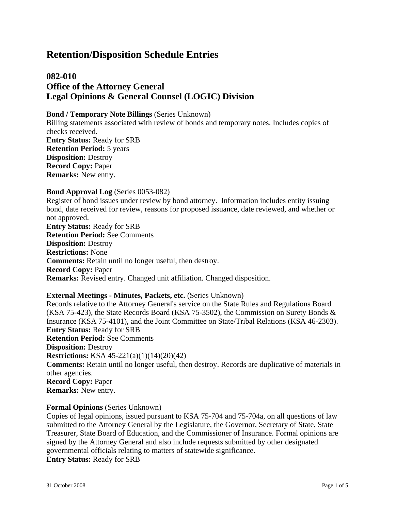## **082-010 Office of the Attorney General Legal Opinions & General Counsel (LOGIC) Division**

#### **Bond / Temporary Note Billings** (Series Unknown)

Billing statements associated with review of bonds and temporary notes. Includes copies of checks received. **Entry Status:** Ready for SRB **Retention Period:** 5 years **Disposition:** Destroy **Record Copy:** Paper **Remarks:** New entry.

#### **Bond Approval Log** (Series 0053-082)

Register of bond issues under review by bond attorney. Information includes entity issuing bond, date received for review, reasons for proposed issuance, date reviewed, and whether or not approved.

**Entry Status:** Ready for SRB **Retention Period:** See Comments **Disposition:** Destroy **Restrictions:** None **Comments:** Retain until no longer useful, then destroy. **Record Copy:** Paper **Remarks:** Revised entry. Changed unit affiliation. Changed disposition.

#### **External Meetings - Minutes, Packets, etc.** (Series Unknown)

Records relative to the Attorney General's service on the State Rules and Regulations Board (KSA 75-423), the State Records Board (KSA 75-3502), the Commission on Surety Bonds  $\&$ Insurance (KSA 75-4101), and the Joint Committee on State/Tribal Relations (KSA 46-2303). **Entry Status:** Ready for SRB **Retention Period:** See Comments **Disposition:** Destroy **Restrictions:** KSA 45-221(a)(1)(14)(20)(42) **Comments:** Retain until no longer useful, then destroy. Records are duplicative of materials in other agencies. **Record Copy:** Paper **Remarks:** New entry.

#### **Formal Opinions** (Series Unknown)

Copies of legal opinions, issued pursuant to KSA 75-704 and 75-704a, on all questions of law submitted to the Attorney General by the Legislature, the Governor, Secretary of State, State Treasurer, State Board of Education, and the Commissioner of Insurance. Formal opinions are signed by the Attorney General and also include requests submitted by other designated governmental officials relating to matters of statewide significance. **Entry Status:** Ready for SRB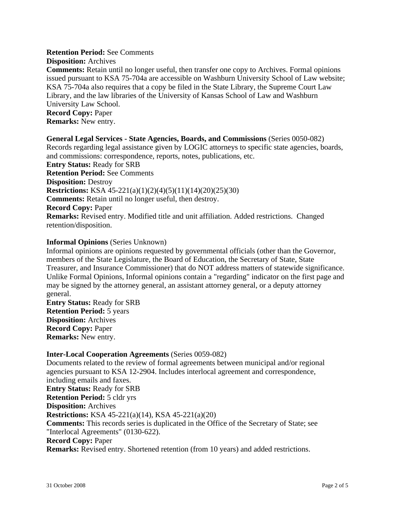#### **Retention Period:** See Comments

#### **Disposition:** Archives

**Comments:** Retain until no longer useful, then transfer one copy to Archives. Formal opinions issued pursuant to KSA 75-704a are accessible on Washburn University School of Law website; KSA 75-704a also requires that a copy be filed in the State Library, the Supreme Court Law Library, and the law libraries of the University of Kansas School of Law and Washburn University Law School.

**Record Copy:** Paper

**Remarks:** New entry.

### **General Legal Services - State Agencies, Boards, and Commissions** (Series 0050-082)

Records regarding legal assistance given by LOGIC attorneys to specific state agencies, boards, and commissions: correspondence, reports, notes, publications, etc.

**Entry Status:** Ready for SRB **Retention Period:** See Comments **Disposition:** Destroy **Restrictions:** KSA 45-221(a)(1)(2)(4)(5)(11)(14)(20)(25)(30) **Comments:** Retain until no longer useful, then destroy. **Record Copy:** Paper **Remarks:** Revised entry. Modified title and unit affiliation. Added restrictions. Changed retention/disposition.

### **Informal Opinions** (Series Unknown)

Informal opinions are opinions requested by governmental officials (other than the Governor, members of the State Legislature, the Board of Education, the Secretary of State, State Treasurer, and Insurance Commissioner) that do NOT address matters of statewide significance. Unlike Formal Opinions, Informal opinions contain a "regarding" indicator on the first page and may be signed by the attorney general, an assistant attorney general, or a deputy attorney general.

**Entry Status:** Ready for SRB **Retention Period:** 5 years **Disposition:** Archives **Record Copy:** Paper **Remarks:** New entry.

### **Inter-Local Cooperation Agreements** (Series 0059-082)

Documents related to the review of formal agreements between municipal and/or regional agencies pursuant to KSA 12-2904. Includes interlocal agreement and correspondence, including emails and faxes. **Entry Status:** Ready for SRB **Retention Period:** 5 cldr yrs **Disposition:** Archives **Restrictions:** KSA 45-221(a)(14), KSA 45-221(a)(20) **Comments:** This records series is duplicated in the Office of the Secretary of State; see "Interlocal Agreements" (0130-622). **Record Copy:** Paper **Remarks:** Revised entry. Shortened retention (from 10 years) and added restrictions.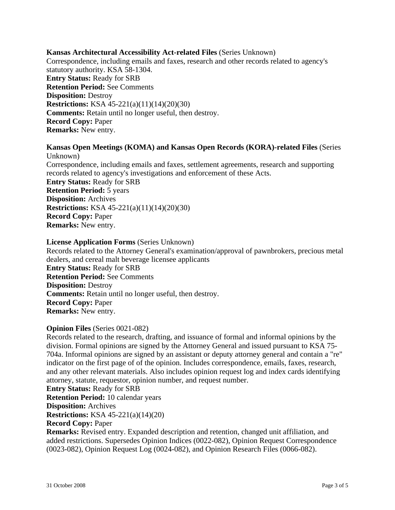### **Kansas Architectural Accessibility Act-related Files** (Series Unknown)

Correspondence, including emails and faxes, research and other records related to agency's statutory authority. KSA 58-1304. **Entry Status:** Ready for SRB **Retention Period:** See Comments **Disposition:** Destroy **Restrictions:** KSA 45-221(a)(11)(14)(20)(30) **Comments:** Retain until no longer useful, then destroy. **Record Copy:** Paper **Remarks:** New entry.

# **Kansas Open Meetings (KOMA) and Kansas Open Records (KORA)-related Files** (Series

Unknown) Correspondence, including emails and faxes, settlement agreements, research and supporting records related to agency's investigations and enforcement of these Acts. **Entry Status:** Ready for SRB **Retention Period:** 5 years **Disposition:** Archives **Restrictions:** KSA 45-221(a)(11)(14)(20)(30) **Record Copy:** Paper **Remarks:** New entry.

### **License Application Forms** (Series Unknown)

Records related to the Attorney General's examination/approval of pawnbrokers, precious metal dealers, and cereal malt beverage licensee applicants **Entry Status:** Ready for SRB **Retention Period:** See Comments **Disposition:** Destroy **Comments:** Retain until no longer useful, then destroy. **Record Copy:** Paper **Remarks:** New entry.

### **Opinion Files** (Series 0021-082)

Records related to the research, drafting, and issuance of formal and informal opinions by the division. Formal opinions are signed by the Attorney General and issued pursuant to KSA 75- 704a. Informal opinions are signed by an assistant or deputy attorney general and contain a "re" indicator on the first page of of the opinion. Includes correspondence, emails, faxes, research, and any other relevant materials. Also includes opinion request log and index cards identifying attorney, statute, requestor, opinion number, and request number.

### **Entry Status:** Ready for SRB

**Retention Period:** 10 calendar years

**Disposition:** Archives

**Restrictions:** KSA 45-221(a)(14)(20)

### **Record Copy:** Paper

**Remarks:** Revised entry. Expanded description and retention, changed unit affiliation, and added restrictions. Supersedes Opinion Indices (0022-082), Opinion Request Correspondence (0023-082), Opinion Request Log (0024-082), and Opinion Research Files (0066-082).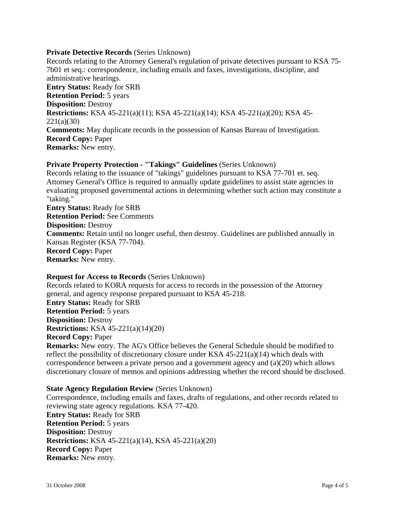### **Private Detective Records** (Series Unknown)

Records relating to the Attorney General's regulation of private detectives pursuant to KSA 75- 7b01 et seq.: correspondence, including emails and faxes, investigations, discipline, and administrative hearings. **Entry Status:** Ready for SRB **Retention Period:** 5 years **Disposition:** Destroy **Restrictions:** KSA 45-221(a)(11); KSA 45-221(a)(14); KSA 45-221(a)(20); KSA 45- 221(a)(30) **Comments:** May duplicate records in the possession of Kansas Bureau of Investigation. **Record Copy:** Paper **Remarks:** New entry.

### **Private Property Protection - "Takings" Guidelines** (Series Unknown)

Records relating to the issuance of "takings" guidelines pursuant to KSA 77-701 et. seq. Attorney General's Office is required to annually update guidelines to assist state agencies in evaluating proposed governmental actions in determining whether such action may constitute a "taking."

**Entry Status:** Ready for SRB **Retention Period:** See Comments **Disposition:** Destroy **Comments:** Retain until no longer useful, then destroy. Guidelines are published annually in Kansas Register (KSA 77-704). **Record Copy:** Paper **Remarks:** New entry.

#### **Request for Access to Records** (Series Unknown)

Records related to KORA requests for access to records in the possession of the Attorney general, and agency response prepared pursuant to KSA 45-218. **Entry Status:** Ready for SRB **Retention Period:** 5 years **Disposition:** Destroy **Restrictions:** KSA 45-221(a)(14)(20) **Record Copy:** Paper **Remarks:** New entry. The AG's Office believes the General Schedule should be modified to reflect the possibility of discretionary closure under KSA  $45-221(a)(14)$  which deals with correspondence between a private person and a government agency and (a)(20) which allows

discretionary closure of memos and opinions addressing whether the record should be disclosed.

### **State Agency Regulation Review** (Series Unknown)

Correspondence, including emails and faxes, drafts of regulations, and other records related to reviewing state agency regulations. KSA 77-420. **Entry Status:** Ready for SRB **Retention Period:** 5 years **Disposition:** Destroy **Restrictions:** KSA 45-221(a)(14), KSA 45-221(a)(20) **Record Copy:** Paper **Remarks:** New entry.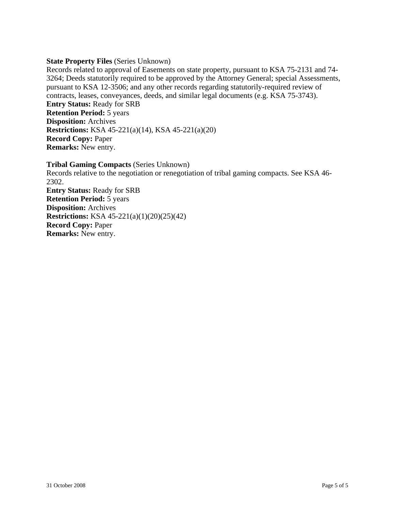### **State Property Files** (Series Unknown)

Records related to approval of Easements on state property, pursuant to KSA 75-2131 and 74- 3264; Deeds statutorily required to be approved by the Attorney General; special Assessments, pursuant to KSA 12-3506; and any other records regarding statutorily-required review of contracts, leases, conveyances, deeds, and similar legal documents (e.g. KSA 75-3743). **Entry Status:** Ready for SRB **Retention Period:** 5 years **Disposition:** Archives **Restrictions:** KSA 45-221(a)(14), KSA 45-221(a)(20) **Record Copy:** Paper **Remarks:** New entry.

**Tribal Gaming Compacts** (Series Unknown) Records relative to the negotiation or renegotiation of tribal gaming compacts. See KSA 46- 2302. **Entry Status:** Ready for SRB **Retention Period:** 5 years **Disposition:** Archives **Restrictions:** KSA 45-221(a)(1)(20)(25)(42) **Record Copy:** Paper **Remarks:** New entry.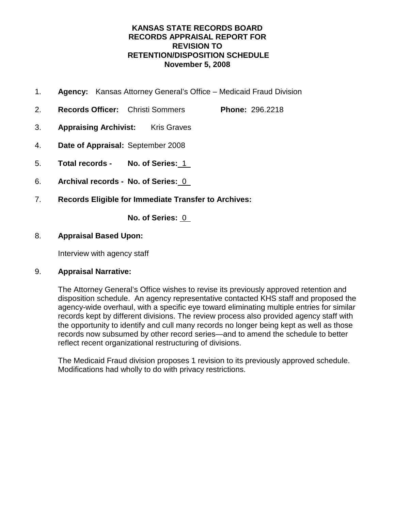### **KANSAS STATE RECORDS BOARD RECORDS APPRAISAL REPORT FOR REVISION TO RETENTION/DISPOSITION SCHEDULE November 5, 2008**

- 1. **Agency:** Kansas Attorney General's Office Medicaid Fraud Division
- 2. **Records Officer:** Christi Sommers **Phone:** 296.2218
- 3. **Appraising Archivist:** Kris Graves
- 4. **Date of Appraisal:** September 2008
- 5. **Total records No. of Series:** 1
- 6. **Archival records No. of Series:** 0
- 7. **Records Eligible for Immediate Transfer to Archives:**

**No. of Series:** 0

### 8. **Appraisal Based Upon:**

Interview with agency staff

### 9. **Appraisal Narrative:**

The Attorney General's Office wishes to revise its previously approved retention and disposition schedule. An agency representative contacted KHS staff and proposed the agency-wide overhaul, with a specific eye toward eliminating multiple entries for similar records kept by different divisions. The review process also provided agency staff with the opportunity to identify and cull many records no longer being kept as well as those records now subsumed by other record series—and to amend the schedule to better reflect recent organizational restructuring of divisions.

The Medicaid Fraud division proposes 1 revision to its previously approved schedule. Modifications had wholly to do with privacy restrictions.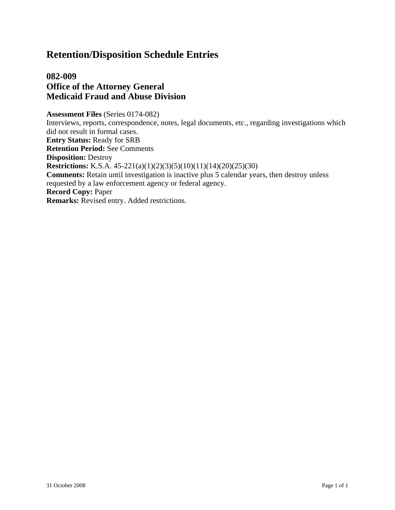# **082-009 Office of the Attorney General Medicaid Fraud and Abuse Division**

**Assessment Files** (Series 0174-082) Interviews, reports, correspondence, notes, legal documents, etc., regarding investigations which did not result in formal cases. **Entry Status:** Ready for SRB **Retention Period:** See Comments **Disposition:** Destroy **Restrictions:** K.S.A. 45-221(a)(1)(2)(3)(5)(10)(11)(14)(20)(25)(30) **Comments:** Retain until investigation is inactive plus 5 calendar years, then destroy unless requested by a law enforcement agency or federal agency. **Record Copy:** Paper **Remarks:** Revised entry. Added restrictions.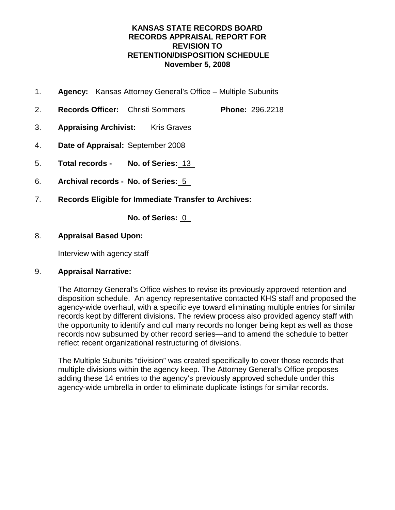### **KANSAS STATE RECORDS BOARD RECORDS APPRAISAL REPORT FOR REVISION TO RETENTION/DISPOSITION SCHEDULE November 5, 2008**

- 1. **Agency:** Kansas Attorney General's Office Multiple Subunits
- 2. **Records Officer:** Christi Sommers **Phone:** 296.2218
- 3. **Appraising Archivist:** Kris Graves
- 4. **Date of Appraisal:** September 2008
- 5. **Total records No. of Series:** 13
- 6. **Archival records No. of Series:** 5
- 7. **Records Eligible for Immediate Transfer to Archives:**

**No. of Series:** 0

### 8. **Appraisal Based Upon:**

Interview with agency staff

### 9. **Appraisal Narrative:**

The Attorney General's Office wishes to revise its previously approved retention and disposition schedule. An agency representative contacted KHS staff and proposed the agency-wide overhaul, with a specific eye toward eliminating multiple entries for similar records kept by different divisions. The review process also provided agency staff with the opportunity to identify and cull many records no longer being kept as well as those records now subsumed by other record series—and to amend the schedule to better reflect recent organizational restructuring of divisions.

The Multiple Subunits "division" was created specifically to cover those records that multiple divisions within the agency keep. The Attorney General's Office proposes adding these 14 entries to the agency's previously approved schedule under this agency-wide umbrella in order to eliminate duplicate listings for similar records.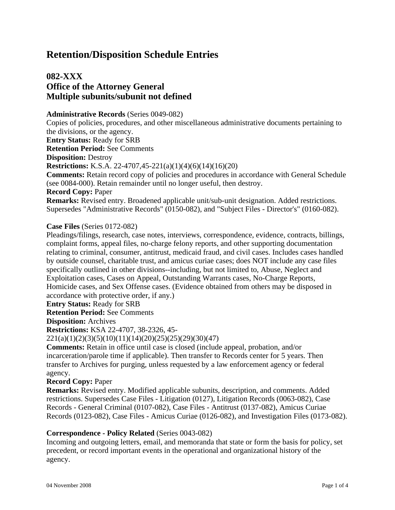## **082-XXX Office of the Attorney General Multiple subunits/subunit not defined**

#### **Administrative Records** (Series 0049-082)

Copies of policies, procedures, and other miscellaneous administrative documents pertaining to the divisions, or the agency. **Entry Status:** Ready for SRB **Retention Period:** See Comments **Disposition:** Destroy **Restrictions:** K.S.A. 22-4707,45-221(a)(1)(4)(6)(14)(16)(20) **Comments:** Retain record copy of policies and procedures in accordance with General Schedule (see 0084-000). Retain remainder until no longer useful, then destroy. **Record Copy:** Paper **Remarks:** Revised entry. Broadened applicable unit/sub-unit designation. Added restrictions. Supersedes "Administrative Records" (0150-082), and "Subject Files - Director's" (0160-082).

### **Case Files** (Series 0172-082)

Pleadings/filings, research, case notes, interviews, correspondence, evidence, contracts, billings, complaint forms, appeal files, no-charge felony reports, and other supporting documentation relating to criminal, consumer, antitrust, medicaid fraud, and civil cases. Includes cases handled by outside counsel, charitable trust, and amicus curiae cases; does NOT include any case files specifically outlined in other divisions--including, but not limited to, Abuse, Neglect and Exploitation cases, Cases on Appeal, Outstanding Warrants cases, No-Charge Reports, Homicide cases, and Sex Offense cases. (Evidence obtained from others may be disposed in accordance with protective order, if any.)

**Entry Status:** Ready for SRB

**Retention Period:** See Comments

**Disposition:** Archives

**Restrictions:** KSA 22-4707, 38-2326, 45-

221(a)(1)(2)(3)(5)(10)(11)(14)(20)(25)(25)(29)(30)(47)

**Comments:** Retain in office until case is closed (include appeal, probation, and/or incarceration/parole time if applicable). Then transfer to Records center for 5 years. Then transfer to Archives for purging, unless requested by a law enforcement agency or federal agency.

#### **Record Copy:** Paper

**Remarks:** Revised entry. Modified applicable subunits, description, and comments. Added restrictions. Supersedes Case Files - Litigation (0127), Litigation Records (0063-082), Case Records - General Criminal (0107-082), Case Files - Antitrust (0137-082), Amicus Curiae Records (0123-082), Case Files - Amicus Curiae (0126-082), and Investigation Files (0173-082).

#### **Correspondence - Policy Related** (Series 0043-082)

Incoming and outgoing letters, email, and memoranda that state or form the basis for policy, set precedent, or record important events in the operational and organizational history of the agency.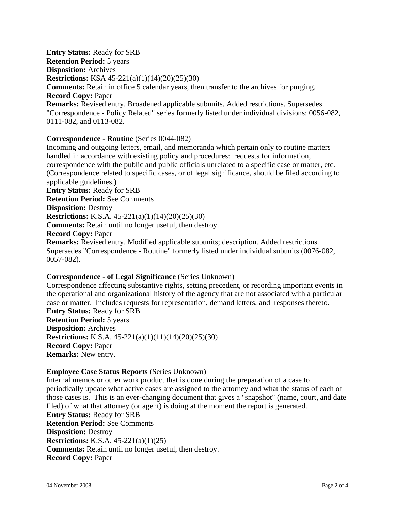**Entry Status:** Ready for SRB **Retention Period:** 5 years **Disposition:** Archives **Restrictions:** KSA 45-221(a)(1)(14)(20)(25)(30) **Comments:** Retain in office 5 calendar years, then transfer to the archives for purging. **Record Copy:** Paper **Remarks:** Revised entry. Broadened applicable subunits. Added restrictions. Supersedes "Correspondence - Policy Related" series formerly listed under individual divisions: 0056-082, 0111-082, and 0113-082.

### **Correspondence - Routine** (Series 0044-082)

Incoming and outgoing letters, email, and memoranda which pertain only to routine matters handled in accordance with existing policy and procedures: requests for information, correspondence with the public and public officials unrelated to a specific case or matter, etc. (Correspondence related to specific cases, or of legal significance, should be filed according to applicable guidelines.) **Entry Status:** Ready for SRB **Retention Period:** See Comments **Disposition:** Destroy **Restrictions:** K.S.A. 45-221(a)(1)(14)(20)(25)(30) **Comments:** Retain until no longer useful, then destroy. **Record Copy:** Paper **Remarks:** Revised entry. Modified applicable subunits; description. Added restrictions. Supersedes "Correspondence - Routine" formerly listed under individual subunits (0076-082, 0057-082).

### **Correspondence - of Legal Significance** (Series Unknown)

Correspondence affecting substantive rights, setting precedent, or recording important events in the operational and organizational history of the agency that are not associated with a particular case or matter. Includes requests for representation, demand letters, and responses thereto. **Entry Status:** Ready for SRB **Retention Period:** 5 years

**Disposition:** Archives **Restrictions:** K.S.A. 45-221(a)(1)(11)(14)(20)(25)(30) **Record Copy:** Paper **Remarks:** New entry.

#### **Employee Case Status Reports** (Series Unknown)

Internal memos or other work product that is done during the preparation of a case to periodically update what active cases are assigned to the attorney and what the status of each of those cases is. This is an ever-changing document that gives a "snapshot" (name, court, and date filed) of what that attorney (or agent) is doing at the moment the report is generated. **Entry Status:** Ready for SRB **Retention Period:** See Comments **Disposition:** Destroy **Restrictions:** K.S.A. 45-221(a)(1)(25) **Comments:** Retain until no longer useful, then destroy. **Record Copy:** Paper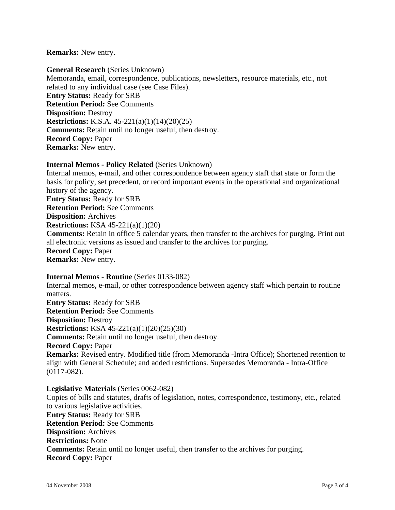#### **Remarks:** New entry.

**General Research** (Series Unknown) Memoranda, email, correspondence, publications, newsletters, resource materials, etc., not related to any individual case (see Case Files). **Entry Status:** Ready for SRB **Retention Period:** See Comments **Disposition:** Destroy **Restrictions:** K.S.A. 45-221(a)(1)(14)(20)(25) **Comments:** Retain until no longer useful, then destroy. **Record Copy:** Paper **Remarks:** New entry.

### **Internal Memos - Policy Related** (Series Unknown)

Internal memos, e-mail, and other correspondence between agency staff that state or form the basis for policy, set precedent, or record important events in the operational and organizational history of the agency. **Entry Status:** Ready for SRB **Retention Period:** See Comments **Disposition:** Archives **Restrictions:** KSA 45-221(a)(1)(20) **Comments:** Retain in office 5 calendar years, then transfer to the archives for purging. Print out all electronic versions as issued and transfer to the archives for purging. **Record Copy:** Paper **Remarks:** New entry.

### **Internal Memos - Routine** (Series 0133-082)

Internal memos, e-mail, or other correspondence between agency staff which pertain to routine matters. **Entry Status:** Ready for SRB **Retention Period:** See Comments **Disposition:** Destroy **Restrictions:** KSA 45-221(a)(1)(20)(25)(30) **Comments:** Retain until no longer useful, then destroy. **Record Copy:** Paper **Remarks:** Revised entry. Modified title (from Memoranda -Intra Office); Shortened retention to align with General Schedule; and added restrictions. Supersedes Memoranda - Intra-Office (0117-082).

#### **Legislative Materials** (Series 0062-082)

Copies of bills and statutes, drafts of legislation, notes, correspondence, testimony, etc., related to various legislative activities.

**Entry Status:** Ready for SRB **Retention Period:** See Comments **Disposition:** Archives **Restrictions:** None **Comments:** Retain until no longer useful, then transfer to the archives for purging. **Record Copy:** Paper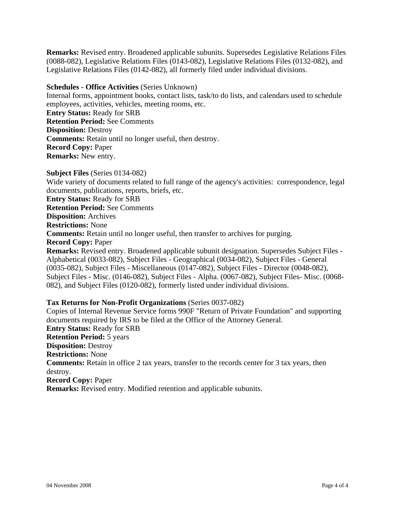**Remarks:** Revised entry. Broadened applicable subunits. Supersedes Legislative Relations Files (0088-082), Legislative Relations Files (0143-082), Legislative Relations Files (0132-082), and Legislative Relations Files (0142-082), all formerly filed under individual divisions.

### **Schedules - Office Activities** (Series Unknown)

Internal forms, appointment books, contact lists, task/to do lists, and calendars used to schedule employees, activities, vehicles, meeting rooms, etc. **Entry Status:** Ready for SRB **Retention Period:** See Comments **Disposition:** Destroy **Comments:** Retain until no longer useful, then destroy. **Record Copy:** Paper **Remarks:** New entry.

**Subject Files** (Series 0134-082) Wide variety of documents related to full range of the agency's activities: correspondence, legal documents, publications, reports, briefs, etc. **Entry Status:** Ready for SRB **Retention Period:** See Comments **Disposition:** Archives **Restrictions:** None **Comments:** Retain until no longer useful, then transfer to archives for purging. **Record Copy:** Paper **Remarks:** Revised entry. Broadened applicable subunit designation. Supersedes Subject Files - Alphabetical (0033-082), Subject Files - Geographical (0034-082), Subject Files - General (0035-082), Subject Files - Miscellaneous (0147-082), Subject Files - Director (0048-082), Subject Files - Misc. (0146-082), Subject Files - Alpha. (0067-082), Subject Files- Misc. (0068- 082), and Subject Files (0120-082), formerly listed under individual divisions.

#### **Tax Returns for Non-Profit Organizations** (Series 0037-082)

Copies of Internal Revenue Service forms 990F "Return of Private Foundation" and supporting documents required by IRS to be filed at the Office of the Attorney General. **Entry Status:** Ready for SRB **Retention Period:** 5 years **Disposition:** Destroy **Restrictions:** None **Comments:** Retain in office 2 tax years, transfer to the records center for 3 tax years, then destroy. **Record Copy:** Paper **Remarks:** Revised entry. Modified retention and applicable subunits.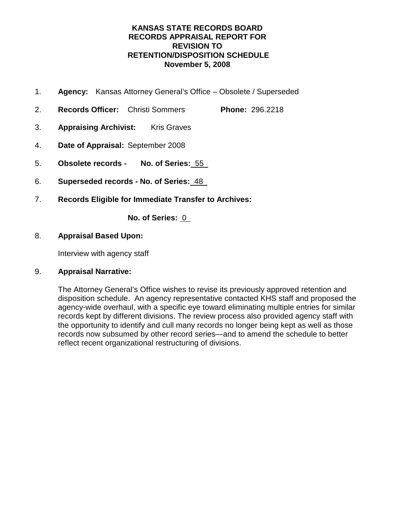### **KANSAS STATE RECORDS BOARD RECORDS APPRAISAL REPORT FOR REVISION TO RETENTION/DISPOSITION SCHEDULE November 5, 2008**

- 1. **Agency:** Kansas Attorney General's Office Obsolete / Superseded
- 2. **Records Officer:** Christi Sommers **Phone:** 296.2218
- 3. **Appraising Archivist:** Kris Graves
- 4. **Date of Appraisal:** September 2008
- 5. **Obsolete records No. of Series:** 55
- 6. **Superseded records No. of Series:** 48
- 7. **Records Eligible for Immediate Transfer to Archives:**

**No. of Series:** 0

### 8. **Appraisal Based Upon:**

Interview with agency staff

### 9. **Appraisal Narrative:**

The Attorney General's Office wishes to revise its previously approved retention and disposition schedule. An agency representative contacted KHS staff and proposed the agency-wide overhaul, with a specific eye toward eliminating multiple entries for similar records kept by different divisions. The review process also provided agency staff with the opportunity to identify and cull many records no longer being kept as well as those records now subsumed by other record series—and to amend the schedule to better reflect recent organizational restructuring of divisions.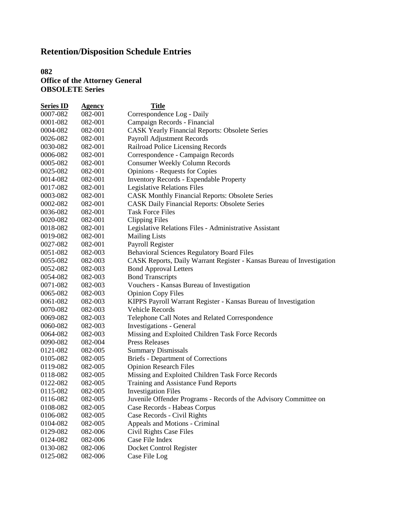### **082 Office of the Attorney General OBSOLETE Series**

| <b>Series ID</b> | <b>Agency</b> | <b>Title</b>                                                          |
|------------------|---------------|-----------------------------------------------------------------------|
| 0007-082         | 082-001       | Correspondence Log - Daily                                            |
| 0001-082         | 082-001       | Campaign Records - Financial                                          |
| 0004-082         | 082-001       | <b>CASK Yearly Financial Reports: Obsolete Series</b>                 |
| 0026-082         | 082-001       | Payroll Adjustment Records                                            |
| 0030-082         | 082-001       | Railroad Police Licensing Records                                     |
| 0006-082         | 082-001       | Correspondence - Campaign Records                                     |
| 0005-082         | 082-001       | <b>Consumer Weekly Column Records</b>                                 |
| 0025-082         | 082-001       | <b>Opinions - Requests for Copies</b>                                 |
| 0014-082         | 082-001       | <b>Inventory Records - Expendable Property</b>                        |
| 0017-082         | 082-001       | Legislative Relations Files                                           |
| 0003-082         | 082-001       | <b>CASK Monthly Financial Reports: Obsolete Series</b>                |
| 0002-082         | 082-001       | <b>CASK Daily Financial Reports: Obsolete Series</b>                  |
| 0036-082         | 082-001       | <b>Task Force Files</b>                                               |
| 0020-082         | 082-001       | <b>Clipping Files</b>                                                 |
| 0018-082         | 082-001       | Legislative Relations Files - Administrative Assistant                |
| 0019-082         | 082-001       | <b>Mailing Lists</b>                                                  |
| 0027-082         | 082-001       | Payroll Register                                                      |
| 0051-082         | 082-003       | <b>Behavioral Sciences Regulatory Board Files</b>                     |
| 0055-082         | 082-003       | CASK Reports, Daily Warrant Register - Kansas Bureau of Investigation |
| 0052-082         | 082-003       | <b>Bond Approval Letters</b>                                          |
| 0054-082         | 082-003       | <b>Bond Transcripts</b>                                               |
| 0071-082         | 082-003       | Vouchers - Kansas Bureau of Investigation                             |
| 0065-082         | 082-003       | <b>Opinion Copy Files</b>                                             |
| 0061-082         | 082-003       | KIPPS Payroll Warrant Register - Kansas Bureau of Investigation       |
| 0070-082         | 082-003       | <b>Vehicle Records</b>                                                |
| 0069-082         | 082-003       | Telephone Call Notes and Related Correspondence                       |
| 0060-082         | 082-003       | <b>Investigations - General</b>                                       |
| 0064-082         | 082-003       | Missing and Exploited Children Task Force Records                     |
| 0090-082         | 082-004       | <b>Press Releases</b>                                                 |
| 0121-082         | 082-005       | <b>Summary Dismissals</b>                                             |
| 0105-082         | 082-005       | <b>Briefs</b> - Department of Corrections                             |
| 0119-082         | 082-005       | <b>Opinion Research Files</b>                                         |
| 0118-082         | 082-005       | Missing and Exploited Children Task Force Records                     |
| 0122-082         | 082-005       | Training and Assistance Fund Reports                                  |
| 0115-082         | 082-005       | <b>Investigation Files</b>                                            |
| 0116-082         | 082-005       | Juvenile Offender Programs - Records of the Advisory Committee on     |
| 0108-082         | 082-005       | Case Records - Habeas Corpus                                          |
| 0106-082         | 082-005       | Case Records - Civil Rights                                           |
| 0104-082         | 082-005       | Appeals and Motions - Criminal                                        |
| 0129-082         | 082-006       | Civil Rights Case Files                                               |
| 0124-082         | 082-006       | Case File Index                                                       |
| 0130-082         | 082-006       | Docket Control Register                                               |
| 0125-082         | 082-006       | Case File Log                                                         |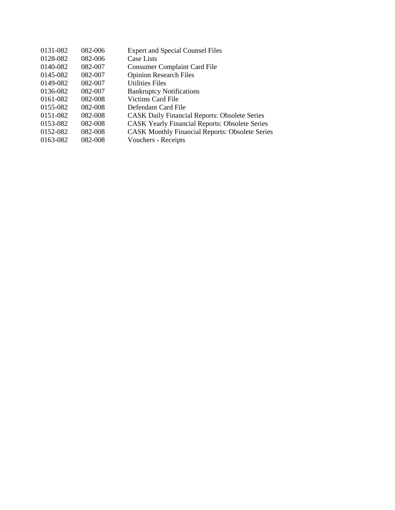| 0131-082 | 082-006 | <b>Expert and Special Counsel Files</b>                |
|----------|---------|--------------------------------------------------------|
| 0128-082 | 082-006 | <b>Case Lists</b>                                      |
| 0140-082 | 082-007 | <b>Consumer Complaint Card File</b>                    |
| 0145-082 | 082-007 | <b>Opinion Research Files</b>                          |
| 0149-082 | 082-007 | <b>Utilities Files</b>                                 |
| 0136-082 | 082-007 | <b>Bankruptcy Notifications</b>                        |
| 0161-082 | 082-008 | Victims Card File                                      |
| 0155-082 | 082-008 | Defendant Card File                                    |
| 0151-082 | 082-008 | <b>CASK Daily Financial Reports: Obsolete Series</b>   |
| 0153-082 | 082-008 | <b>CASK Yearly Financial Reports: Obsolete Series</b>  |
| 0152-082 | 082-008 | <b>CASK Monthly Financial Reports: Obsolete Series</b> |
| 0163-082 | 082-008 | Vouchers - Receipts                                    |
|          |         |                                                        |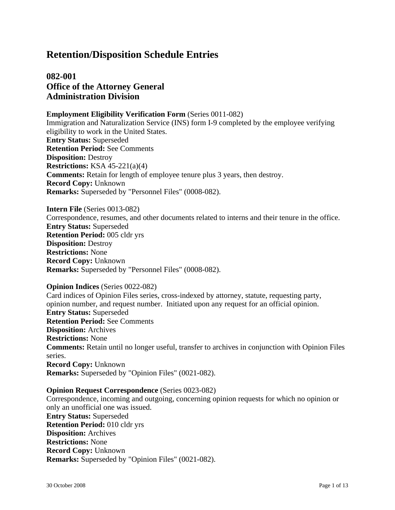# **082-001 Office of the Attorney General Administration Division**

### **Employment Eligibility Verification Form** (Series 0011-082)

Immigration and Naturalization Service (INS) form I-9 completed by the employee verifying eligibility to work in the United States. **Entry Status:** Superseded **Retention Period:** See Comments **Disposition:** Destroy **Restrictions:** KSA 45-221(a)(4) **Comments:** Retain for length of employee tenure plus 3 years, then destroy. **Record Copy:** Unknown **Remarks:** Superseded by "Personnel Files" (0008-082).

**Intern File** (Series 0013-082) Correspondence, resumes, and other documents related to interns and their tenure in the office. **Entry Status:** Superseded **Retention Period:** 005 cldr yrs **Disposition:** Destroy **Restrictions:** None **Record Copy:** Unknown **Remarks:** Superseded by "Personnel Files" (0008-082).

#### **Opinion Indices** (Series 0022-082)

Card indices of Opinion Files series, cross-indexed by attorney, statute, requesting party, opinion number, and request number. Initiated upon any request for an official opinion. **Entry Status:** Superseded **Retention Period:** See Comments **Disposition:** Archives **Restrictions:** None **Comments:** Retain until no longer useful, transfer to archives in conjunction with Opinion Files series. **Record Copy:** Unknown **Remarks:** Superseded by "Opinion Files" (0021-082).

#### **Opinion Request Correspondence** (Series 0023-082)

Correspondence, incoming and outgoing, concerning opinion requests for which no opinion or only an unofficial one was issued. **Entry Status:** Superseded **Retention Period:** 010 cldr yrs **Disposition:** Archives **Restrictions:** None **Record Copy:** Unknown **Remarks:** Superseded by "Opinion Files" (0021-082).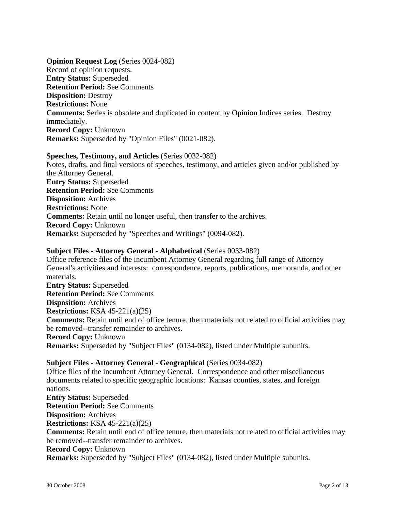**Opinion Request Log** (Series 0024-082) Record of opinion requests. **Entry Status:** Superseded **Retention Period:** See Comments **Disposition:** Destroy **Restrictions:** None **Comments:** Series is obsolete and duplicated in content by Opinion Indices series. Destroy immediately. **Record Copy:** Unknown **Remarks:** Superseded by "Opinion Files" (0021-082).

#### **Speeches, Testimony, and Articles** (Series 0032-082)

Notes, drafts, and final versions of speeches, testimony, and articles given and/or published by the Attorney General. **Entry Status:** Superseded **Retention Period:** See Comments **Disposition:** Archives **Restrictions:** None **Comments:** Retain until no longer useful, then transfer to the archives. **Record Copy:** Unknown **Remarks:** Superseded by "Speeches and Writings" (0094-082).

### **Subject Files - Attorney General - Alphabetical** (Series 0033-082)

Office reference files of the incumbent Attorney General regarding full range of Attorney General's activities and interests: correspondence, reports, publications, memoranda, and other materials. **Entry Status:** Superseded **Retention Period:** See Comments **Disposition:** Archives **Restrictions:** KSA 45-221(a)(25) **Comments:** Retain until end of office tenure, then materials not related to official activities may be removed--transfer remainder to archives.

**Record Copy:** Unknown **Remarks:** Superseded by "Subject Files" (0134-082), listed under Multiple subunits.

**Subject Files - Attorney General - Geographical** (Series 0034-082) Office files of the incumbent Attorney General. Correspondence and other miscellaneous documents related to specific geographic locations: Kansas counties, states, and foreign nations. **Entry Status:** Superseded **Retention Period:** See Comments **Disposition:** Archives **Restrictions:** KSA 45-221(a)(25) **Comments:** Retain until end of office tenure, then materials not related to official activities may be removed--transfer remainder to archives. **Record Copy:** Unknown **Remarks:** Superseded by "Subject Files" (0134-082), listed under Multiple subunits.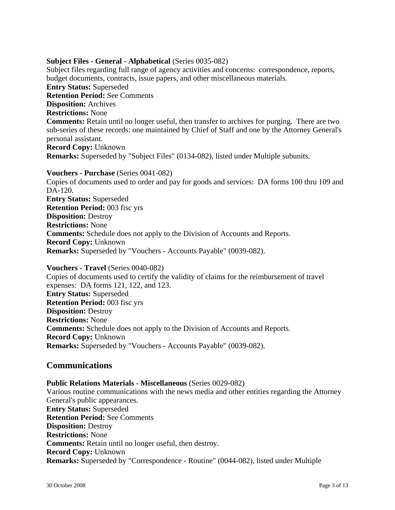### **Subject Files - General - Alphabetical** (Series 0035-082)

Subject files regarding full range of agency activities and concerns: correspondence, reports, budget documents, contracts, issue papers, and other miscellaneous materials. **Entry Status:** Superseded **Retention Period:** See Comments **Disposition:** Archives **Restrictions:** None **Comments:** Retain until no longer useful, then transfer to archives for purging. There are two sub-series of these records: one maintained by Chief of Staff and one by the Attorney General's personal assistant. **Record Copy:** Unknown **Remarks:** Superseded by "Subject Files" (0134-082), listed under Multiple subunits.

**Vouchers - Purchase** (Series 0041-082)

Copies of documents used to order and pay for goods and services: DA forms 100 thru 109 and DA-120. **Entry Status:** Superseded **Retention Period:** 003 fisc yrs **Disposition:** Destroy **Restrictions:** None **Comments:** Schedule does not apply to the Division of Accounts and Reports. **Record Copy:** Unknown **Remarks:** Superseded by "Vouchers - Accounts Payable" (0039-082).

#### **Vouchers - Travel** (Series 0040-082)

Copies of documents used to certify the validity of claims for the reimbursement of travel expenses: DA forms 121, 122, and 123. **Entry Status:** Superseded **Retention Period:** 003 fisc yrs **Disposition:** Destroy **Restrictions:** None **Comments:** Schedule does not apply to the Division of Accounts and Reports. **Record Copy:** Unknown **Remarks:** Superseded by "Vouchers - Accounts Payable" (0039-082).

### **Communications**

**Public Relations Materials - Miscellaneous** (Series 0029-082) Various routine communications with the news media and other entities regarding the Attorney General's public appearances. **Entry Status:** Superseded **Retention Period:** See Comments **Disposition:** Destroy **Restrictions:** None **Comments:** Retain until no longer useful, then destroy. **Record Copy:** Unknown **Remarks:** Superseded by "Correspondence - Routine" (0044-082), listed under Multiple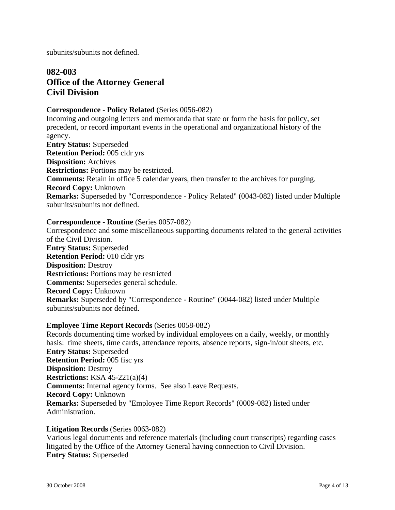subunits/subunits not defined.

# **082-003 Office of the Attorney General Civil Division**

### **Correspondence - Policy Related** (Series 0056-082)

Incoming and outgoing letters and memoranda that state or form the basis for policy, set precedent, or record important events in the operational and organizational history of the agency.

**Entry Status:** Superseded **Retention Period:** 005 cldr yrs **Disposition:** Archives **Restrictions:** Portions may be restricted. **Comments:** Retain in office 5 calendar years, then transfer to the archives for purging. **Record Copy:** Unknown **Remarks:** Superseded by "Correspondence - Policy Related" (0043-082) listed under Multiple subunits/subunits not defined.

### **Correspondence - Routine** (Series 0057-082)

Correspondence and some miscellaneous supporting documents related to the general activities of the Civil Division. **Entry Status:** Superseded **Retention Period:** 010 cldr yrs **Disposition:** Destroy **Restrictions:** Portions may be restricted **Comments:** Supersedes general schedule. **Record Copy:** Unknown **Remarks:** Superseded by "Correspondence - Routine" (0044-082) listed under Multiple subunits/subunits nor defined.

#### **Employee Time Report Records** (Series 0058-082)

Records documenting time worked by individual employees on a daily, weekly, or monthly basis: time sheets, time cards, attendance reports, absence reports, sign-in/out sheets, etc. **Entry Status:** Superseded **Retention Period:** 005 fisc yrs **Disposition:** Destroy **Restrictions:** KSA 45-221(a)(4) **Comments:** Internal agency forms. See also Leave Requests. **Record Copy:** Unknown **Remarks:** Superseded by "Employee Time Report Records" (0009-082) listed under Administration.

### **Litigation Records** (Series 0063-082)

Various legal documents and reference materials (including court transcripts) regarding cases litigated by the Office of the Attorney General having connection to Civil Division. **Entry Status:** Superseded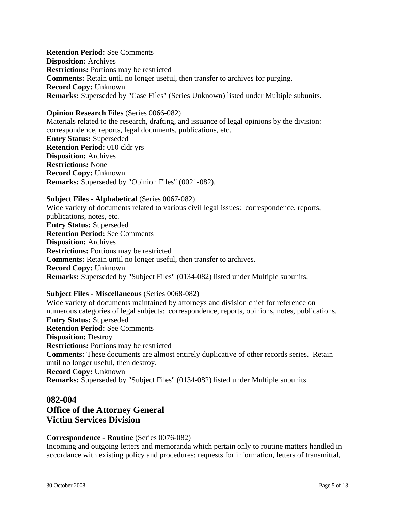**Retention Period:** See Comments **Disposition:** Archives **Restrictions:** Portions may be restricted **Comments:** Retain until no longer useful, then transfer to archives for purging. **Record Copy:** Unknown **Remarks:** Superseded by "Case Files" (Series Unknown) listed under Multiple subunits.

#### **Opinion Research Files** (Series 0066-082)

Materials related to the research, drafting, and issuance of legal opinions by the division: correspondence, reports, legal documents, publications, etc. **Entry Status:** Superseded **Retention Period:** 010 cldr yrs **Disposition:** Archives **Restrictions:** None **Record Copy:** Unknown **Remarks:** Superseded by "Opinion Files" (0021-082).

#### **Subject Files - Alphabetical** (Series 0067-082)

Wide variety of documents related to various civil legal issues: correspondence, reports, publications, notes, etc. **Entry Status:** Superseded **Retention Period:** See Comments **Disposition:** Archives **Restrictions:** Portions may be restricted **Comments:** Retain until no longer useful, then transfer to archives. **Record Copy:** Unknown **Remarks:** Superseded by "Subject Files" (0134-082) listed under Multiple subunits.

#### **Subject Files - Miscellaneous** (Series 0068-082)

Wide variety of documents maintained by attorneys and division chief for reference on numerous categories of legal subjects: correspondence, reports, opinions, notes, publications. **Entry Status:** Superseded **Retention Period:** See Comments **Disposition:** Destroy **Restrictions:** Portions may be restricted **Comments:** These documents are almost entirely duplicative of other records series. Retain until no longer useful, then destroy. **Record Copy:** Unknown **Remarks:** Superseded by "Subject Files" (0134-082) listed under Multiple subunits.

### **082-004**

# **Office of the Attorney General Victim Services Division**

#### **Correspondence - Routine** (Series 0076-082)

Incoming and outgoing letters and memoranda which pertain only to routine matters handled in accordance with existing policy and procedures: requests for information, letters of transmittal,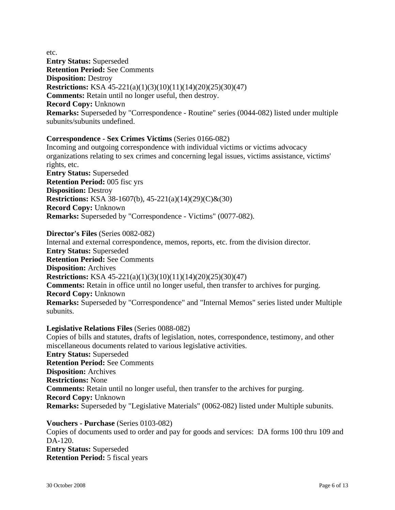etc.

**Entry Status:** Superseded **Retention Period:** See Comments **Disposition:** Destroy **Restrictions:** KSA 45-221(a)(1)(3)(10)(11)(14)(20)(25)(30)(47) **Comments:** Retain until no longer useful, then destroy. **Record Copy:** Unknown **Remarks:** Superseded by "Correspondence - Routine" series (0044-082) listed under multiple subunits/subunits undefined.

### **Correspondence - Sex Crimes Victims** (Series 0166-082)

Incoming and outgoing correspondence with individual victims or victims advocacy organizations relating to sex crimes and concerning legal issues, victims assistance, victims' rights, etc. **Entry Status:** Superseded **Retention Period:** 005 fisc yrs **Disposition:** Destroy **Restrictions:** KSA 38-1607(b), 45-221(a)(14)(29)(C)&(30) **Record Copy:** Unknown **Remarks:** Superseded by "Correspondence - Victims" (0077-082).

**Director's Files** (Series 0082-082) Internal and external correspondence, memos, reports, etc. from the division director. **Entry Status:** Superseded **Retention Period:** See Comments **Disposition:** Archives **Restrictions:** KSA 45-221(a)(1)(3)(10)(11)(14)(20)(25)(30)(47) **Comments:** Retain in office until no longer useful, then transfer to archives for purging. **Record Copy:** Unknown **Remarks:** Superseded by "Correspondence" and "Internal Memos" series listed under Multiple subunits.

### **Legislative Relations Files** (Series 0088-082)

Copies of bills and statutes, drafts of legislation, notes, correspondence, testimony, and other miscellaneous documents related to various legislative activities. **Entry Status:** Superseded **Retention Period:** See Comments **Disposition:** Archives **Restrictions:** None **Comments:** Retain until no longer useful, then transfer to the archives for purging. **Record Copy:** Unknown **Remarks:** Superseded by "Legislative Materials" (0062-082) listed under Multiple subunits.

**Vouchers - Purchase** (Series 0103-082) Copies of documents used to order and pay for goods and services: DA forms 100 thru 109 and DA-120. **Entry Status:** Superseded **Retention Period:** 5 fiscal years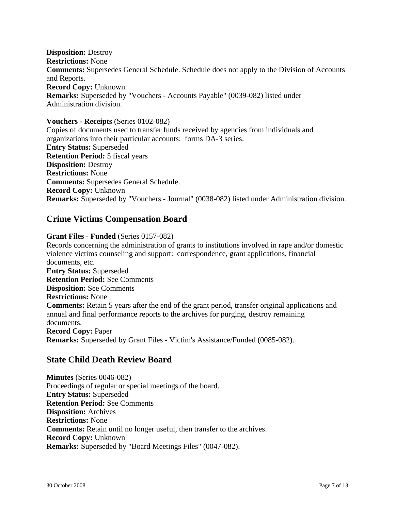**Disposition:** Destroy **Restrictions:** None **Comments:** Supersedes General Schedule. Schedule does not apply to the Division of Accounts and Reports. **Record Copy:** Unknown **Remarks:** Superseded by "Vouchers - Accounts Payable" (0039-082) listed under Administration division.

### **Vouchers - Receipts** (Series 0102-082)

Copies of documents used to transfer funds received by agencies from individuals and organizations into their particular accounts: forms DA-3 series. **Entry Status:** Superseded **Retention Period:** 5 fiscal years **Disposition:** Destroy **Restrictions:** None **Comments:** Supersedes General Schedule. **Record Copy:** Unknown **Remarks:** Superseded by "Vouchers - Journal" (0038-082) listed under Administration division.

## **Crime Victims Compensation Board**

### **Grant Files - Funded** (Series 0157-082)

Records concerning the administration of grants to institutions involved in rape and/or domestic violence victims counseling and support: correspondence, grant applications, financial documents, etc. **Entry Status:** Superseded **Retention Period:** See Comments **Disposition:** See Comments **Restrictions:** None **Comments:** Retain 5 years after the end of the grant period, transfer original applications and annual and final performance reports to the archives for purging, destroy remaining documents. **Record Copy:** Paper **Remarks:** Superseded by Grant Files - Victim's Assistance/Funded (0085-082).

## **State Child Death Review Board**

**Minutes** (Series 0046-082) Proceedings of regular or special meetings of the board. **Entry Status:** Superseded **Retention Period:** See Comments **Disposition:** Archives **Restrictions:** None **Comments:** Retain until no longer useful, then transfer to the archives. **Record Copy:** Unknown **Remarks:** Superseded by "Board Meetings Files" (0047-082).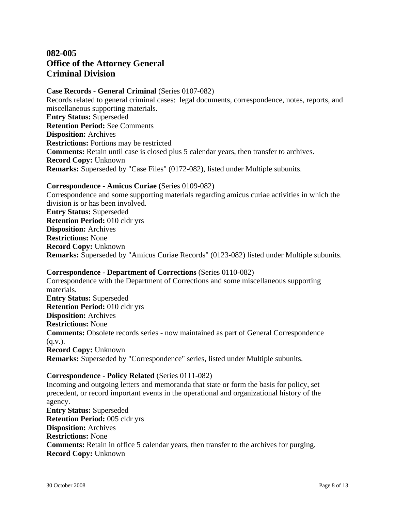# **082-005 Office of the Attorney General Criminal Division**

**Case Records - General Criminal** (Series 0107-082) Records related to general criminal cases: legal documents, correspondence, notes, reports, and miscellaneous supporting materials. **Entry Status:** Superseded **Retention Period:** See Comments **Disposition:** Archives **Restrictions:** Portions may be restricted **Comments:** Retain until case is closed plus 5 calendar years, then transfer to archives. **Record Copy:** Unknown **Remarks:** Superseded by "Case Files" (0172-082), listed under Multiple subunits.

#### **Correspondence - Amicus Curiae** (Series 0109-082)

Correspondence and some supporting materials regarding amicus curiae activities in which the division is or has been involved. **Entry Status:** Superseded **Retention Period:** 010 cldr yrs **Disposition:** Archives **Restrictions:** None **Record Copy:** Unknown **Remarks:** Superseded by "Amicus Curiae Records" (0123-082) listed under Multiple subunits.

#### **Correspondence - Department of Corrections** (Series 0110-082)

Correspondence with the Department of Corrections and some miscellaneous supporting materials. **Entry Status:** Superseded **Retention Period:** 010 cldr yrs **Disposition:** Archives **Restrictions:** None **Comments:** Obsolete records series - now maintained as part of General Correspondence  $(q.v.)$ . **Record Copy:** Unknown **Remarks:** Superseded by "Correspondence" series, listed under Multiple subunits.

### **Correspondence - Policy Related** (Series 0111-082)

Incoming and outgoing letters and memoranda that state or form the basis for policy, set precedent, or record important events in the operational and organizational history of the agency. **Entry Status:** Superseded **Retention Period:** 005 cldr yrs **Disposition:** Archives **Restrictions:** None **Comments:** Retain in office 5 calendar years, then transfer to the archives for purging. **Record Copy:** Unknown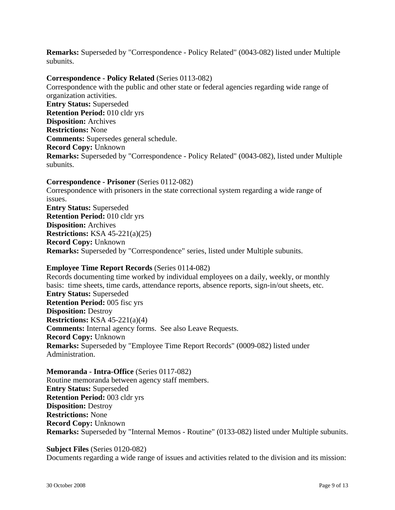**Remarks:** Superseded by "Correspondence - Policy Related" (0043-082) listed under Multiple subunits.

### **Correspondence - Policy Related** (Series 0113-082)

Correspondence with the public and other state or federal agencies regarding wide range of organization activities. **Entry Status:** Superseded **Retention Period:** 010 cldr yrs **Disposition:** Archives **Restrictions:** None **Comments:** Supersedes general schedule. **Record Copy:** Unknown **Remarks:** Superseded by "Correspondence - Policy Related" (0043-082), listed under Multiple subunits.

**Correspondence - Prisoner** (Series 0112-082) Correspondence with prisoners in the state correctional system regarding a wide range of issues. **Entry Status:** Superseded **Retention Period:** 010 cldr yrs **Disposition:** Archives **Restrictions:** KSA 45-221(a)(25) **Record Copy:** Unknown **Remarks:** Superseded by "Correspondence" series, listed under Multiple subunits.

#### **Employee Time Report Records** (Series 0114-082)

Records documenting time worked by individual employees on a daily, weekly, or monthly basis: time sheets, time cards, attendance reports, absence reports, sign-in/out sheets, etc. **Entry Status:** Superseded **Retention Period:** 005 fisc yrs **Disposition:** Destroy **Restrictions:** KSA 45-221(a)(4) **Comments:** Internal agency forms. See also Leave Requests. **Record Copy:** Unknown **Remarks:** Superseded by "Employee Time Report Records" (0009-082) listed under Administration.

**Memoranda - Intra-Office** (Series 0117-082) Routine memoranda between agency staff members. **Entry Status:** Superseded **Retention Period:** 003 cldr yrs **Disposition:** Destroy **Restrictions:** None **Record Copy:** Unknown **Remarks:** Superseded by "Internal Memos - Routine" (0133-082) listed under Multiple subunits.

### **Subject Files** (Series 0120-082)

Documents regarding a wide range of issues and activities related to the division and its mission: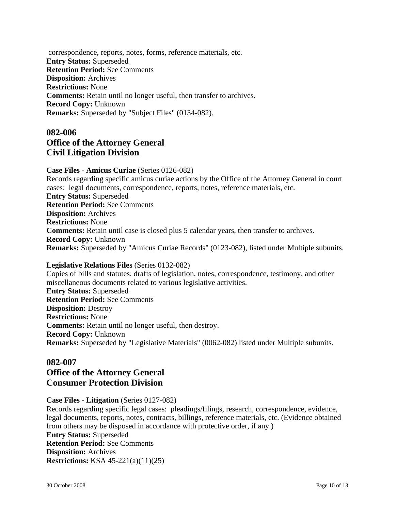correspondence, reports, notes, forms, reference materials, etc. **Entry Status:** Superseded **Retention Period:** See Comments **Disposition:** Archives **Restrictions:** None **Comments:** Retain until no longer useful, then transfer to archives. **Record Copy:** Unknown **Remarks:** Superseded by "Subject Files" (0134-082).

# **082-006 Office of the Attorney General Civil Litigation Division**

**Case Files - Amicus Curiae** (Series 0126-082) Records regarding specific amicus curiae actions by the Office of the Attorney General in court cases: legal documents, correspondence, reports, notes, reference materials, etc. **Entry Status:** Superseded **Retention Period:** See Comments **Disposition:** Archives **Restrictions:** None **Comments:** Retain until case is closed plus 5 calendar years, then transfer to archives. **Record Copy:** Unknown **Remarks:** Superseded by "Amicus Curiae Records" (0123-082), listed under Multiple subunits.

### **Legislative Relations Files** (Series 0132-082)

Copies of bills and statutes, drafts of legislation, notes, correspondence, testimony, and other miscellaneous documents related to various legislative activities. **Entry Status:** Superseded **Retention Period:** See Comments **Disposition:** Destroy **Restrictions:** None **Comments:** Retain until no longer useful, then destroy. **Record Copy:** Unknown **Remarks:** Superseded by "Legislative Materials" (0062-082) listed under Multiple subunits.

## **082-007 Office of the Attorney General Consumer Protection Division**

### **Case Files - Litigation** (Series 0127-082)

Records regarding specific legal cases: pleadings/filings, research, correspondence, evidence, legal documents, reports, notes, contracts, billings, reference materials, etc. (Evidence obtained from others may be disposed in accordance with protective order, if any.) **Entry Status:** Superseded **Retention Period:** See Comments **Disposition:** Archives **Restrictions:** KSA 45-221(a)(11)(25)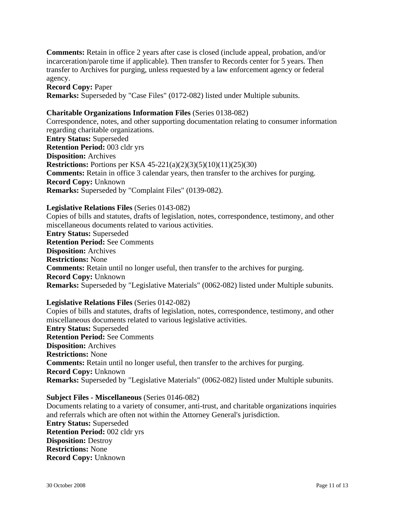**Comments:** Retain in office 2 years after case is closed (include appeal, probation, and/or incarceration/parole time if applicable). Then transfer to Records center for 5 years. Then transfer to Archives for purging, unless requested by a law enforcement agency or federal agency.

**Record Copy:** Paper **Remarks:** Superseded by "Case Files" (0172-082) listed under Multiple subunits.

#### **Charitable Organizations Information Files** (Series 0138-082)

Correspondence, notes, and other supporting documentation relating to consumer information regarding charitable organizations. **Entry Status:** Superseded **Retention Period:** 003 cldr yrs **Disposition:** Archives **Restrictions:** Portions per KSA 45-221(a)(2)(3)(5)(10)(11)(25)(30) **Comments:** Retain in office 3 calendar years, then transfer to the archives for purging. **Record Copy:** Unknown **Remarks:** Superseded by "Complaint Files" (0139-082).

#### **Legislative Relations Files** (Series 0143-082)

Copies of bills and statutes, drafts of legislation, notes, correspondence, testimony, and other miscellaneous documents related to various activities. **Entry Status:** Superseded **Retention Period:** See Comments **Disposition:** Archives **Restrictions:** None **Comments:** Retain until no longer useful, then transfer to the archives for purging. **Record Copy:** Unknown **Remarks:** Superseded by "Legislative Materials" (0062-082) listed under Multiple subunits.

#### **Legislative Relations Files** (Series 0142-082)

Copies of bills and statutes, drafts of legislation, notes, correspondence, testimony, and other miscellaneous documents related to various legislative activities. **Entry Status:** Superseded **Retention Period:** See Comments **Disposition:** Archives **Restrictions:** None **Comments:** Retain until no longer useful, then transfer to the archives for purging. **Record Copy:** Unknown **Remarks:** Superseded by "Legislative Materials" (0062-082) listed under Multiple subunits.

#### **Subject Files - Miscellaneous** (Series 0146-082)

Documents relating to a variety of consumer, anti-trust, and charitable organizations inquiries and referrals which are often not within the Attorney General's jurisdiction. **Entry Status:** Superseded **Retention Period:** 002 cldr yrs **Disposition:** Destroy **Restrictions:** None **Record Copy:** Unknown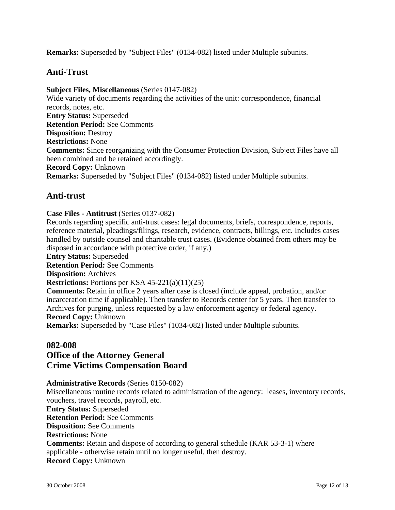**Remarks:** Superseded by "Subject Files" (0134-082) listed under Multiple subunits.

## **Anti-Trust**

### **Subject Files, Miscellaneous** (Series 0147-082)

Wide variety of documents regarding the activities of the unit: correspondence, financial records, notes, etc. **Entry Status:** Superseded **Retention Period:** See Comments **Disposition:** Destroy **Restrictions:** None **Comments:** Since reorganizing with the Consumer Protection Division, Subject Files have all been combined and be retained accordingly. **Record Copy:** Unknown **Remarks:** Superseded by "Subject Files" (0134-082) listed under Multiple subunits.

## **Anti-trust**

### **Case Files - Antitrust** (Series 0137-082)

Records regarding specific anti-trust cases: legal documents, briefs, correspondence, reports, reference material, pleadings/filings, research, evidence, contracts, billings, etc. Includes cases handled by outside counsel and charitable trust cases. (Evidence obtained from others may be disposed in accordance with protective order, if any.) **Entry Status:** Superseded **Retention Period:** See Comments **Disposition:** Archives **Restrictions:** Portions per KSA 45-221(a)(11)(25)

**Comments:** Retain in office 2 years after case is closed (include appeal, probation, and/or incarceration time if applicable). Then transfer to Records center for 5 years. Then transfer to Archives for purging, unless requested by a law enforcement agency or federal agency. **Record Copy:** Unknown

**Remarks:** Superseded by "Case Files" (1034-082) listed under Multiple subunits.

## **082-008 Office of the Attorney General Crime Victims Compensation Board**

### **Administrative Records** (Series 0150-082)

Miscellaneous routine records related to administration of the agency: leases, inventory records, vouchers, travel records, payroll, etc. **Entry Status:** Superseded **Retention Period:** See Comments **Disposition:** See Comments **Restrictions:** None **Comments:** Retain and dispose of according to general schedule (KAR 53-3-1) where applicable - otherwise retain until no longer useful, then destroy. **Record Copy:** Unknown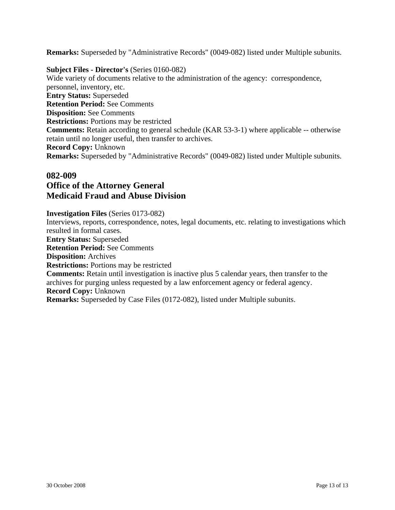**Remarks:** Superseded by "Administrative Records" (0049-082) listed under Multiple subunits.

### **Subject Files - Director's** (Series 0160-082)

Wide variety of documents relative to the administration of the agency: correspondence, personnel, inventory, etc. **Entry Status:** Superseded **Retention Period:** See Comments **Disposition:** See Comments **Restrictions:** Portions may be restricted **Comments:** Retain according to general schedule (KAR 53-3-1) where applicable -- otherwise retain until no longer useful, then transfer to archives. **Record Copy:** Unknown **Remarks:** Superseded by "Administrative Records" (0049-082) listed under Multiple subunits.

# **082-009**

## **Office of the Attorney General Medicaid Fraud and Abuse Division**

### **Investigation Files** (Series 0173-082)

Interviews, reports, correspondence, notes, legal documents, etc. relating to investigations which resulted in formal cases. **Entry Status:** Superseded **Retention Period:** See Comments **Disposition:** Archives **Restrictions:** Portions may be restricted **Comments:** Retain until investigation is inactive plus 5 calendar years, then transfer to the archives for purging unless requested by a law enforcement agency or federal agency. **Record Copy:** Unknown **Remarks:** Superseded by Case Files (0172-082), listed under Multiple subunits.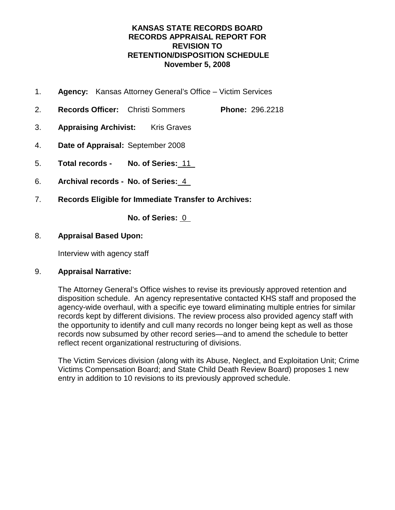### **KANSAS STATE RECORDS BOARD RECORDS APPRAISAL REPORT FOR REVISION TO RETENTION/DISPOSITION SCHEDULE November 5, 2008**

- 1. **Agency:** Kansas Attorney General's Office Victim Services
- 2. **Records Officer:** Christi Sommers **Phone:** 296.2218
- 3. **Appraising Archivist:** Kris Graves
- 4. **Date of Appraisal:** September 2008
- 5. **Total records No. of Series:** 11
- 6. **Archival records No. of Series:** 4
- 7. **Records Eligible for Immediate Transfer to Archives:**

**No. of Series:** 0

### 8. **Appraisal Based Upon:**

Interview with agency staff

### 9. **Appraisal Narrative:**

The Attorney General's Office wishes to revise its previously approved retention and disposition schedule. An agency representative contacted KHS staff and proposed the agency-wide overhaul, with a specific eye toward eliminating multiple entries for similar records kept by different divisions. The review process also provided agency staff with the opportunity to identify and cull many records no longer being kept as well as those records now subsumed by other record series—and to amend the schedule to better reflect recent organizational restructuring of divisions.

The Victim Services division (along with its Abuse, Neglect, and Exploitation Unit; Crime Victims Compensation Board; and State Child Death Review Board) proposes 1 new entry in addition to 10 revisions to its previously approved schedule.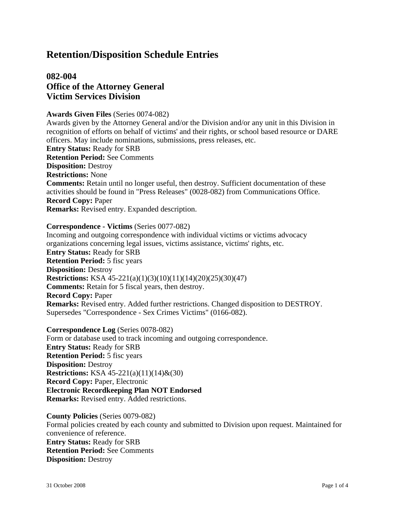# **082-004 Office of the Attorney General Victim Services Division**

#### **Awards Given Files** (Series 0074-082)

Awards given by the Attorney General and/or the Division and/or any unit in this Division in recognition of efforts on behalf of victims' and their rights, or school based resource or DARE officers. May include nominations, submissions, press releases, etc. **Entry Status:** Ready for SRB **Retention Period:** See Comments **Disposition:** Destroy **Restrictions:** None **Comments:** Retain until no longer useful, then destroy. Sufficient documentation of these activities should be found in "Press Releases" (0028-082) from Communications Office. **Record Copy:** Paper

**Remarks:** Revised entry. Expanded description.

### **Correspondence - Victims** (Series 0077-082)

Incoming and outgoing correspondence with individual victims or victims advocacy organizations concerning legal issues, victims assistance, victims' rights, etc. **Entry Status:** Ready for SRB **Retention Period:** 5 fisc years **Disposition:** Destroy **Restrictions:** KSA 45-221(a)(1)(3)(10)(11)(14)(20)(25)(30)(47) **Comments:** Retain for 5 fiscal years, then destroy. **Record Copy:** Paper **Remarks:** Revised entry. Added further restrictions. Changed disposition to DESTROY. Supersedes "Correspondence - Sex Crimes Victims" (0166-082).

#### **Correspondence Log** (Series 0078-082)

Form or database used to track incoming and outgoing correspondence. **Entry Status:** Ready for SRB **Retention Period:** 5 fisc years **Disposition:** Destroy **Restrictions:** KSA 45-221(a)(11)(14)&(30) **Record Copy:** Paper, Electronic **Electronic Recordkeeping Plan NOT Endorsed Remarks:** Revised entry. Added restrictions.

**County Policies** (Series 0079-082) Formal policies created by each county and submitted to Division upon request. Maintained for convenience of reference. **Entry Status:** Ready for SRB **Retention Period:** See Comments **Disposition:** Destroy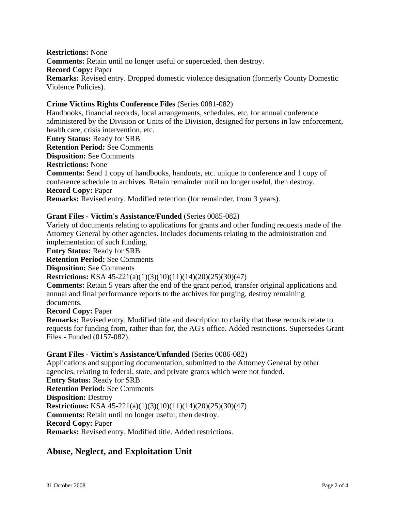**Restrictions:** None **Comments:** Retain until no longer useful or superceded, then destroy. **Record Copy:** Paper **Remarks:** Revised entry. Dropped domestic violence designation (formerly County Domestic Violence Policies).

### **Crime Victims Rights Conference Files** (Series 0081-082)

Handbooks, financial records, local arrangements, schedules, etc. for annual conference administered by the Division or Units of the Division, designed for persons in law enforcement, health care, crisis intervention, etc.

**Entry Status:** Ready for SRB

**Retention Period:** See Comments

**Disposition:** See Comments

**Restrictions:** None

**Comments:** Send 1 copy of handbooks, handouts, etc. unique to conference and 1 copy of conference schedule to archives. Retain remainder until no longer useful, then destroy. **Record Copy:** Paper

**Remarks:** Revised entry. Modified retention (for remainder, from 3 years).

### **Grant Files - Victim's Assistance/Funded** (Series 0085-082)

Variety of documents relating to applications for grants and other funding requests made of the Attorney General by other agencies. Includes documents relating to the administration and implementation of such funding.

**Entry Status:** Ready for SRB

**Retention Period:** See Comments

**Disposition:** See Comments

### **Restrictions:** KSA 45-221(a)(1)(3)(10)(11)(14)(20)(25)(30)(47)

**Comments:** Retain 5 years after the end of the grant period, transfer original applications and annual and final performance reports to the archives for purging, destroy remaining documents.

**Record Copy:** Paper

**Remarks:** Revised entry. Modified title and description to clarify that these records relate to requests for funding from, rather than for, the AG's office. Added restrictions. Supersedes Grant Files - Funded (0157-082).

### **Grant Files - Victim's Assistance/Unfunded** (Series 0086-082)

Applications and supporting documentation, submitted to the Attorney General by other agencies, relating to federal, state, and private grants which were not funded. **Entry Status:** Ready for SRB **Retention Period:** See Comments **Disposition:** Destroy **Restrictions:** KSA 45-221(a)(1)(3)(10)(11)(14)(20)(25)(30)(47) **Comments:** Retain until no longer useful, then destroy. **Record Copy:** Paper **Remarks:** Revised entry. Modified title. Added restrictions.

## **Abuse, Neglect, and Exploitation Unit**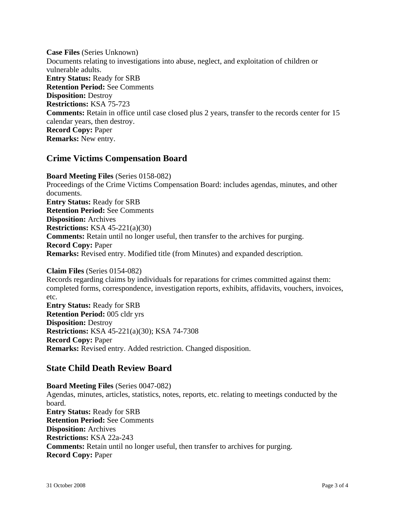**Case Files** (Series Unknown) Documents relating to investigations into abuse, neglect, and exploitation of children or vulnerable adults. **Entry Status:** Ready for SRB **Retention Period:** See Comments **Disposition:** Destroy **Restrictions:** KSA 75-723 **Comments:** Retain in office until case closed plus 2 years, transfer to the records center for 15 calendar years, then destroy. **Record Copy:** Paper **Remarks:** New entry.

## **Crime Victims Compensation Board**

**Board Meeting Files** (Series 0158-082) Proceedings of the Crime Victims Compensation Board: includes agendas, minutes, and other documents. **Entry Status:** Ready for SRB **Retention Period:** See Comments **Disposition:** Archives **Restrictions:** KSA 45-221(a)(30) **Comments:** Retain until no longer useful, then transfer to the archives for purging. **Record Copy:** Paper **Remarks:** Revised entry. Modified title (from Minutes) and expanded description.

**Claim Files** (Series 0154-082) Records regarding claims by individuals for reparations for crimes committed against them: completed forms, correspondence, investigation reports, exhibits, affidavits, vouchers, invoices, etc. **Entry Status:** Ready for SRB **Retention Period:** 005 cldr yrs **Disposition:** Destroy **Restrictions:** KSA 45-221(a)(30); KSA 74-7308 **Record Copy:** Paper **Remarks:** Revised entry. Added restriction. Changed disposition.

# **State Child Death Review Board**

**Board Meeting Files** (Series 0047-082) Agendas, minutes, articles, statistics, notes, reports, etc. relating to meetings conducted by the board. **Entry Status:** Ready for SRB **Retention Period:** See Comments **Disposition:** Archives **Restrictions:** KSA 22a-243 **Comments:** Retain until no longer useful, then transfer to archives for purging. **Record Copy:** Paper